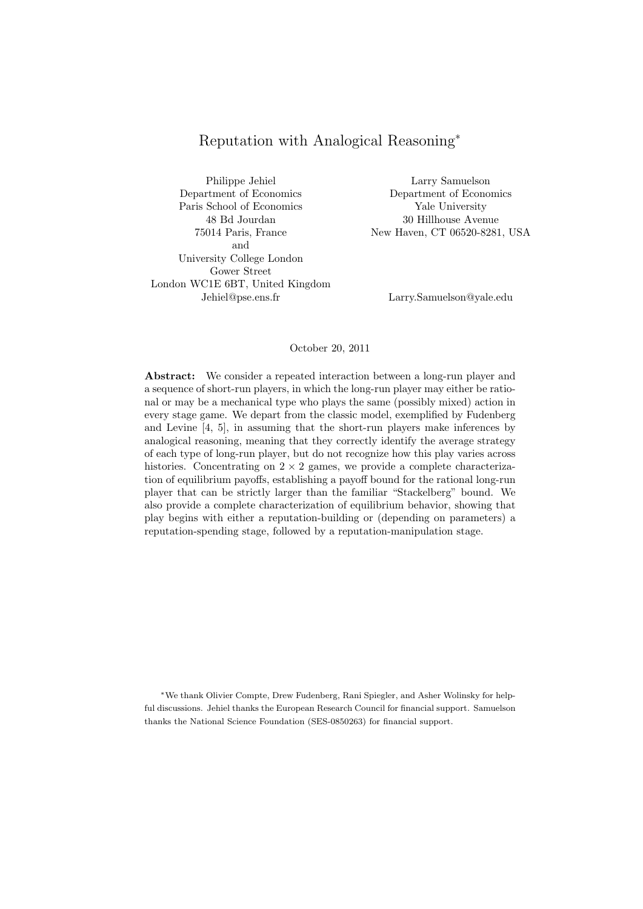# Reputation with Analogical Reasoning*<sup>∗</sup>*

Philippe Jehiel Larry Samuelson Department of Economics Department of Economics Paris School of Economics Yale University 48 Bd Jourdan 30 Hillhouse Avenue and University College London Gower Street London WC1E 6BT, United Kingdom Jehiel@pse.ens.fr Larry.Samuelson@yale.edu

75014 Paris, France New Haven, CT 06520-8281, USA

## October 20, 2011

**Abstract:** We consider a repeated interaction between a long-run player and a sequence of short-run players, in which the long-run player may either be rational or may be a mechanical type who plays the same (possibly mixed) action in every stage game. We depart from the classic model, exemplified by Fudenberg and Levine [4, 5], in assuming that the short-run players make inferences by analogical reasoning, meaning that they correctly identify the average strategy of each type of long-run player, but do not recognize how this play varies across histories. Concentrating on  $2 \times 2$  games, we provide a complete characterization of equilibrium payoffs, establishing a payoff bound for the rational long-run player that can be strictly larger than the familiar "Stackelberg" bound. We also provide a complete characterization of equilibrium behavior, showing that play begins with either a reputation-building or (depending on parameters) a reputation-spending stage, followed by a reputation-manipulation stage.

*∗*We thank Olivier Compte, Drew Fudenberg, Rani Spiegler, and Asher Wolinsky for helpful discussions. Jehiel thanks the European Research Council for financial support. Samuelson thanks the National Science Foundation (SES-0850263) for financial support.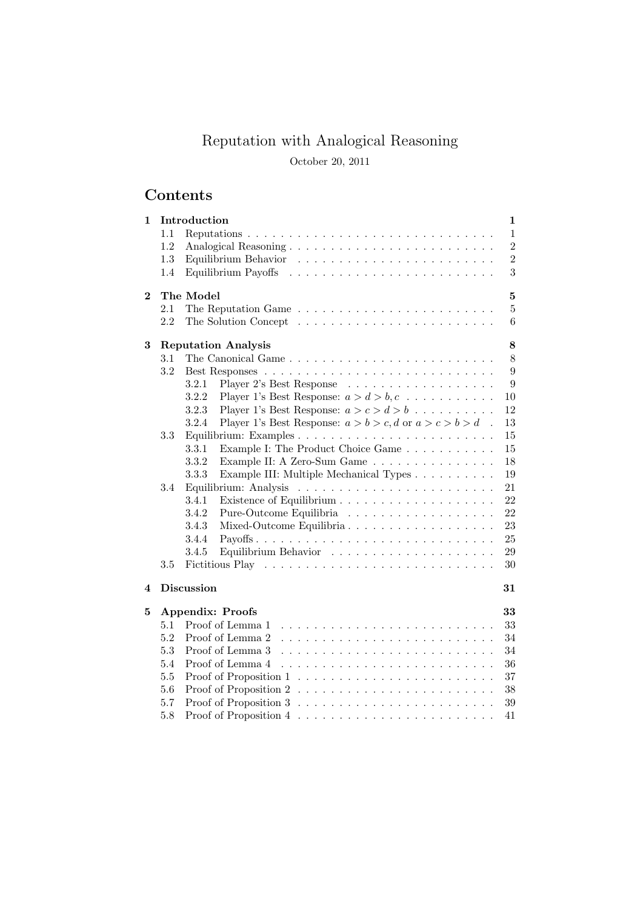# Reputation with Analogical Reasoning

October 20, 2011

# **Contents**

| 1        |     | Introduction                                                                     | 1              |
|----------|-----|----------------------------------------------------------------------------------|----------------|
|          | 1.1 |                                                                                  | $\mathbf{1}$   |
|          | 1.2 |                                                                                  | $\overline{2}$ |
|          | 1.3 |                                                                                  | $\overline{2}$ |
|          | 1.4 |                                                                                  | 3              |
| $\bf{2}$ |     | The Model                                                                        | 5              |
|          | 2.1 |                                                                                  | 5              |
|          | 2.2 |                                                                                  | 6              |
| 3        |     | <b>Reputation Analysis</b>                                                       | 8              |
|          | 3.1 | The Canonical Game                                                               | 8              |
|          | 3.2 |                                                                                  | 9              |
|          |     | Player 2's Best Response<br>3.2.1                                                | 9              |
|          |     | 3.2.2<br>Player 1's Best Response: $a > d > b, c \dots \dots \dots$              | 10             |
|          |     | Player 1's Best Response: $a > c > d > b$<br>3.2.3                               | 12             |
|          |     | 3.2.4<br>Player 1's Best Response: $a > b > c$ , d or $a > c > b > d$ .          | 13             |
|          | 3.3 |                                                                                  | 15             |
|          |     | 3.3.1<br>Example I: The Product Choice Game                                      | 15             |
|          |     | 3.3.2<br>Example II: A Zero-Sum Game                                             | 18             |
|          |     | Example III: Multiple Mechanical Types<br>3.3.3                                  | 19             |
|          | 3.4 |                                                                                  | 21             |
|          |     | 3.4.1                                                                            | 22             |
|          |     | 3.4.2<br>Pure-Outcome Equilibria                                                 | 22             |
|          |     | 3.4.3                                                                            | 23             |
|          |     | 3.4.4                                                                            | 25             |
|          |     | 3.4.5                                                                            | 29             |
|          | 3.5 |                                                                                  | 30             |
| 4        |     | <b>Discussion</b>                                                                | 31             |
| 5        |     | <b>Appendix: Proofs</b>                                                          | 33             |
|          | 5.1 | Proof of Lemma 1                                                                 | 33             |
|          | 5.2 | Proof of Lemma 2                                                                 | 34             |
|          | 5.3 | Proof of Lemma 3                                                                 | 34             |
|          | 5.4 | Proof of Lemma 4                                                                 | 36             |
|          | 5.5 |                                                                                  | 37             |
|          | 5.6 |                                                                                  | 38             |
|          | 5.7 | Proof of Proposition $3 \ldots \ldots \ldots \ldots \ldots \ldots \ldots \ldots$ | 39             |
|          | 5.8 |                                                                                  | 41             |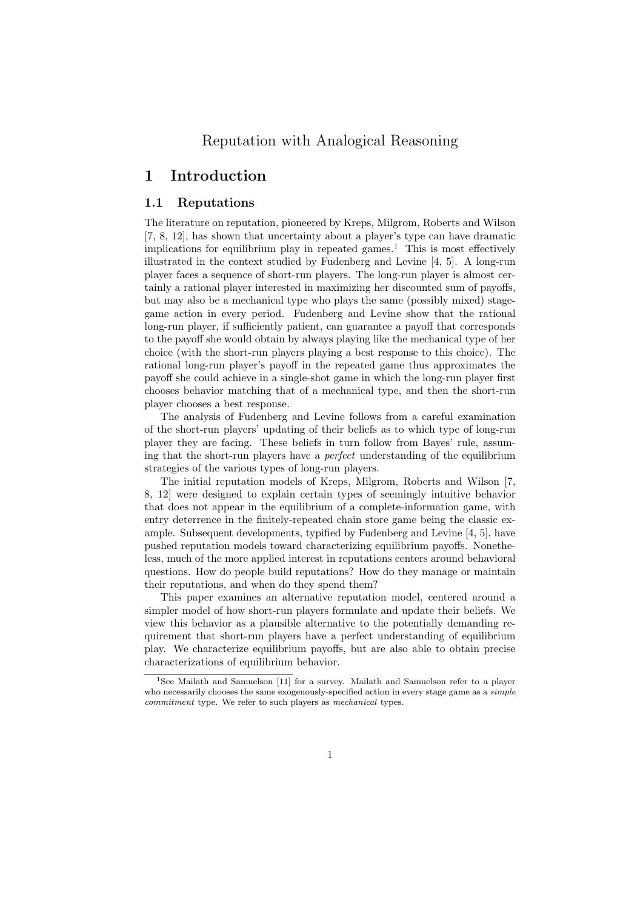# Reputation with Analogical Reasoning

# **1 Introduction**

## **1.1 Reputations**

The literature on reputation, pioneered by Kreps, Milgrom, Roberts and Wilson [7, 8, 12], has shown that uncertainty about a player's type can have dramatic implications for equilibrium play in repeated games.<sup>1</sup> This is most effectively illustrated in the context studied by Fudenberg and Levine [4, 5]. A long-run player faces a sequence of short-run players. The long-run player is almost certainly a rational player interested in maximizing her discounted sum of payoffs, but may also be a mechanical type who plays the same (possibly mixed) stagegame action in every period. Fudenberg and Levine show that the rational long-run player, if sufficiently patient, can guarantee a payoff that corresponds to the payoff she would obtain by always playing like the mechanical type of her choice (with the short-run players playing a best response to this choice). The rational long-run player's payoff in the repeated game thus approximates the payoff she could achieve in a single-shot game in which the long-run player first chooses behavior matching that of a mechanical type, and then the short-run player chooses a best response.

The analysis of Fudenberg and Levine follows from a careful examination of the short-run players' updating of their beliefs as to which type of long-run player they are facing. These beliefs in turn follow from Bayes' rule, assuming that the short-run players have a *perfect* understanding of the equilibrium strategies of the various types of long-run players.

The initial reputation models of Kreps, Milgrom, Roberts and Wilson [7, 8, 12] were designed to explain certain types of seemingly intuitive behavior that does not appear in the equilibrium of a complete-information game, with entry deterrence in the finitely-repeated chain store game being the classic example. Subsequent developments, typified by Fudenberg and Levine [4, 5], have pushed reputation models toward characterizing equilibrium payoffs. Nonetheless, much of the more applied interest in reputations centers around behavioral questions. How do people build reputations? How do they manage or maintain their reputations, and when do they spend them?

This paper examines an alternative reputation model, centered around a simpler model of how short-run players formulate and update their beliefs. We view this behavior as a plausible alternative to the potentially demanding requirement that short-run players have a perfect understanding of equilibrium play. We characterize equilibrium payoffs, but are also able to obtain precise characterizations of equilibrium behavior.

<sup>&</sup>lt;sup>1</sup>See Mailath and Samuelson [11] for a survey. Mailath and Samuelson refer to a player who necessarily chooses the same exogenously-specified action in every stage game as a *simple commitment* type. We refer to such players as *mechanical* types.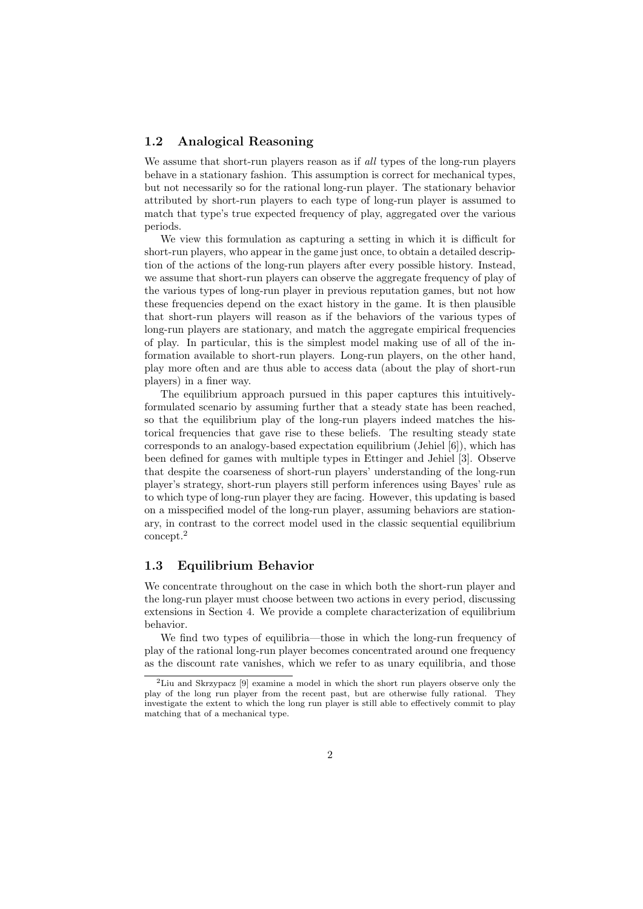## **1.2 Analogical Reasoning**

We assume that short-run players reason as if *all* types of the long-run players behave in a stationary fashion. This assumption is correct for mechanical types, but not necessarily so for the rational long-run player. The stationary behavior attributed by short-run players to each type of long-run player is assumed to match that type's true expected frequency of play, aggregated over the various periods.

We view this formulation as capturing a setting in which it is difficult for short-run players, who appear in the game just once, to obtain a detailed description of the actions of the long-run players after every possible history. Instead, we assume that short-run players can observe the aggregate frequency of play of the various types of long-run player in previous reputation games, but not how these frequencies depend on the exact history in the game. It is then plausible that short-run players will reason as if the behaviors of the various types of long-run players are stationary, and match the aggregate empirical frequencies of play. In particular, this is the simplest model making use of all of the information available to short-run players. Long-run players, on the other hand, play more often and are thus able to access data (about the play of short-run players) in a finer way.

The equilibrium approach pursued in this paper captures this intuitivelyformulated scenario by assuming further that a steady state has been reached, so that the equilibrium play of the long-run players indeed matches the historical frequencies that gave rise to these beliefs. The resulting steady state corresponds to an analogy-based expectation equilibrium (Jehiel [6]), which has been defined for games with multiple types in Ettinger and Jehiel [3]. Observe that despite the coarseness of short-run players' understanding of the long-run player's strategy, short-run players still perform inferences using Bayes' rule as to which type of long-run player they are facing. However, this updating is based on a misspecified model of the long-run player, assuming behaviors are stationary, in contrast to the correct model used in the classic sequential equilibrium concept.<sup>2</sup>

## **1.3 Equilibrium Behavior**

We concentrate throughout on the case in which both the short-run player and the long-run player must choose between two actions in every period, discussing extensions in Section 4. We provide a complete characterization of equilibrium behavior.

We find two types of equilibria—those in which the long-run frequency of play of the rational long-run player becomes concentrated around one frequency as the discount rate vanishes, which we refer to as unary equilibria, and those

<sup>2</sup>Liu and Skrzypacz [9] examine a model in which the short run players observe only the play of the long run player from the recent past, but are otherwise fully rational. They investigate the extent to which the long run player is still able to effectively commit to play matching that of a mechanical type.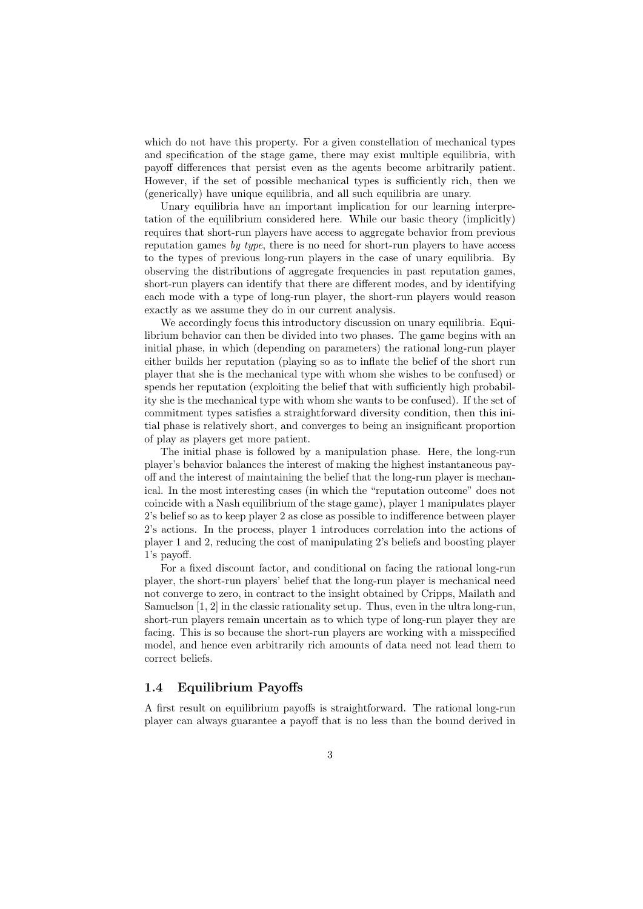which do not have this property. For a given constellation of mechanical types and specification of the stage game, there may exist multiple equilibria, with payoff differences that persist even as the agents become arbitrarily patient. However, if the set of possible mechanical types is sufficiently rich, then we (generically) have unique equilibria, and all such equilibria are unary.

Unary equilibria have an important implication for our learning interpretation of the equilibrium considered here. While our basic theory (implicitly) requires that short-run players have access to aggregate behavior from previous reputation games *by type*, there is no need for short-run players to have access to the types of previous long-run players in the case of unary equilibria. By observing the distributions of aggregate frequencies in past reputation games, short-run players can identify that there are different modes, and by identifying each mode with a type of long-run player, the short-run players would reason exactly as we assume they do in our current analysis.

We accordingly focus this introductory discussion on unary equilibria. Equilibrium behavior can then be divided into two phases. The game begins with an initial phase, in which (depending on parameters) the rational long-run player either builds her reputation (playing so as to inflate the belief of the short run player that she is the mechanical type with whom she wishes to be confused) or spends her reputation (exploiting the belief that with sufficiently high probability she is the mechanical type with whom she wants to be confused). If the set of commitment types satisfies a straightforward diversity condition, then this initial phase is relatively short, and converges to being an insignificant proportion of play as players get more patient.

The initial phase is followed by a manipulation phase. Here, the long-run player's behavior balances the interest of making the highest instantaneous payoff and the interest of maintaining the belief that the long-run player is mechanical. In the most interesting cases (in which the "reputation outcome" does not coincide with a Nash equilibrium of the stage game), player 1 manipulates player 2's belief so as to keep player 2 as close as possible to indifference between player 2's actions. In the process, player 1 introduces correlation into the actions of player 1 and 2, reducing the cost of manipulating 2's beliefs and boosting player 1's payoff.

For a fixed discount factor, and conditional on facing the rational long-run player, the short-run players' belief that the long-run player is mechanical need not converge to zero, in contract to the insight obtained by Cripps, Mailath and Samuelson [1, 2] in the classic rationality setup. Thus, even in the ultra long-run, short-run players remain uncertain as to which type of long-run player they are facing. This is so because the short-run players are working with a misspecified model, and hence even arbitrarily rich amounts of data need not lead them to correct beliefs.

# **1.4 Equilibrium Payoffs**

A first result on equilibrium payoffs is straightforward. The rational long-run player can always guarantee a payoff that is no less than the bound derived in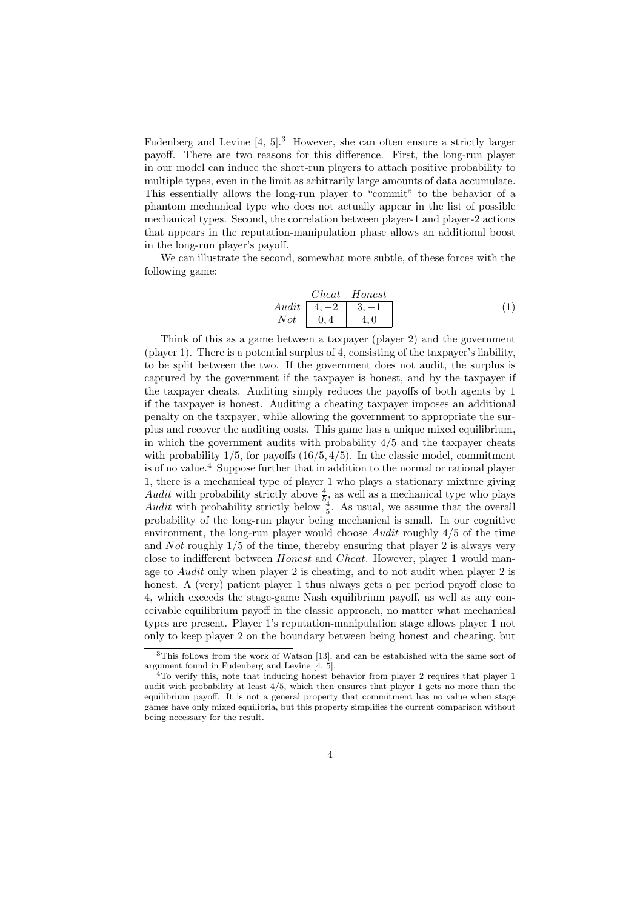Fudenberg and Levine [4, 5].<sup>3</sup> However, she can often ensure a strictly larger payoff. There are two reasons for this difference. First, the long-run player in our model can induce the short-run players to attach positive probability to multiple types, even in the limit as arbitrarily large amounts of data accumulate. This essentially allows the long-run player to "commit" to the behavior of a phantom mechanical type who does not actually appear in the list of possible mechanical types. Second, the correlation between player-1 and player-2 actions that appears in the reputation-manipulation phase allows an additional boost in the long-run player's payoff.

We can illustrate the second, somewhat more subtle, of these forces with the following game:

| Check   | Honest          |                 |
|---------|-----------------|-----------------|
| $Audit$ | $\boxed{4, -2}$ | $\boxed{3, -1}$ |
| $Not$   | $\boxed{0, 4}$  | $\boxed{4, 0}$  |

Think of this as a game between a taxpayer (player 2) and the government (player 1). There is a potential surplus of 4, consisting of the taxpayer's liability, to be split between the two. If the government does not audit, the surplus is captured by the government if the taxpayer is honest, and by the taxpayer if the taxpayer cheats. Auditing simply reduces the payoffs of both agents by 1 if the taxpayer is honest. Auditing a cheating taxpayer imposes an additional penalty on the taxpayer, while allowing the government to appropriate the surplus and recover the auditing costs. This game has a unique mixed equilibrium, in which the government audits with probability 4*/*5 and the taxpayer cheats with probability 1*/*5, for payoffs (16*/*5*,* 4*/*5). In the classic model, commitment is of no value.<sup>4</sup> Suppose further that in addition to the normal or rational player 1, there is a mechanical type of player 1 who plays a stationary mixture giving Audit with probability strictly above  $\frac{4}{5}$ , as well as a mechanical type who plays Audit with probability strictly below  $\frac{4}{5}$ . As usual, we assume that the overall probability of the long-run player being mechanical is small. In our cognitive environment, the long-run player would choose *Audit* roughly 4*/*5 of the time and *Not* roughly 1*/*5 of the time, thereby ensuring that player 2 is always very close to indifferent between *Honest* and *Cheat*. However, player 1 would manage to *Audit* only when player 2 is cheating, and to not audit when player 2 is honest. A (very) patient player 1 thus always gets a per period payoff close to 4, which exceeds the stage-game Nash equilibrium payoff, as well as any conceivable equilibrium payoff in the classic approach, no matter what mechanical types are present. Player 1's reputation-manipulation stage allows player 1 not only to keep player 2 on the boundary between being honest and cheating, but

<sup>&</sup>lt;sup>3</sup>This follows from the work of Watson [13], and can be established with the same sort of argument found in Fudenberg and Levine [4, 5].

<sup>&</sup>lt;sup>4</sup>To verify this, note that inducing honest behavior from player 2 requires that player 1 audit with probability at least 4*/*5, which then ensures that player 1 gets no more than the equilibrium payoff. It is not a general property that commitment has no value when stage games have only mixed equilibria, but this property simplifies the current comparison without being necessary for the result.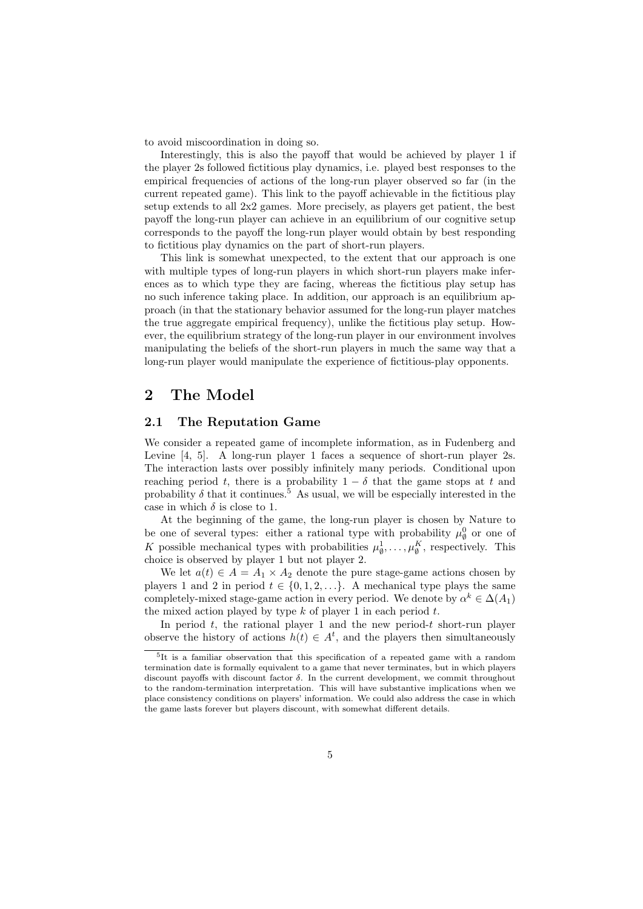to avoid miscoordination in doing so.

Interestingly, this is also the payoff that would be achieved by player 1 if the player 2s followed fictitious play dynamics, i.e. played best responses to the empirical frequencies of actions of the long-run player observed so far (in the current repeated game). This link to the payoff achievable in the fictitious play setup extends to all 2x2 games. More precisely, as players get patient, the best payoff the long-run player can achieve in an equilibrium of our cognitive setup corresponds to the payoff the long-run player would obtain by best responding to fictitious play dynamics on the part of short-run players.

This link is somewhat unexpected, to the extent that our approach is one with multiple types of long-run players in which short-run players make inferences as to which type they are facing, whereas the fictitious play setup has no such inference taking place. In addition, our approach is an equilibrium approach (in that the stationary behavior assumed for the long-run player matches the true aggregate empirical frequency), unlike the fictitious play setup. However, the equilibrium strategy of the long-run player in our environment involves manipulating the beliefs of the short-run players in much the same way that a long-run player would manipulate the experience of fictitious-play opponents.

# **2 The Model**

## **2.1 The Reputation Game**

We consider a repeated game of incomplete information, as in Fudenberg and Levine [4, 5]. A long-run player 1 faces a sequence of short-run player 2s. The interaction lasts over possibly infinitely many periods. Conditional upon reaching period *t*, there is a probability  $1 - \delta$  that the game stops at *t* and probability  $\delta$  that it continues.<sup>5</sup> As usual, we will be especially interested in the case in which  $\delta$  is close to 1.

At the beginning of the game, the long-run player is chosen by Nature to be one of several types: either a rational type with probability  $\mu_{\emptyset}^0$  or one of *K* possible mechanical types with probabilities  $\mu_{\emptyset}^1, \ldots, \mu_{\emptyset}^K$ , respectively. This choice is observed by player 1 but not player 2.

We let  $a(t) \in A = A_1 \times A_2$  denote the pure stage-game actions chosen by players 1 and 2 in period  $t \in \{0, 1, 2, \ldots\}$ . A mechanical type plays the same completely-mixed stage-game action in every period. We denote by  $\alpha^k \in \Delta(A_1)$ the mixed action played by type *k* of player 1 in each period *t*.

In period *t*, the rational player 1 and the new period-*t* short-run player observe the history of actions  $h(t) \in A^t$ , and the players then simultaneously

<sup>5</sup> It is a familiar observation that this specification of a repeated game with a random termination date is formally equivalent to a game that never terminates, but in which players discount payoffs with discount factor *δ*. In the current development, we commit throughout to the random-termination interpretation. This will have substantive implications when we place consistency conditions on players' information. We could also address the case in which the game lasts forever but players discount, with somewhat different details.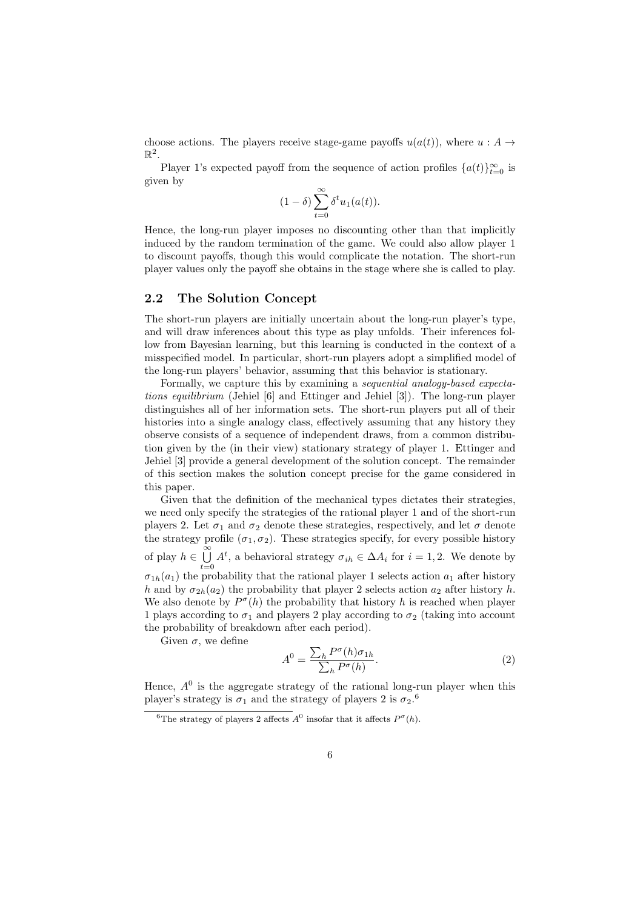choose actions. The players receive stage-game payoffs  $u(a(t))$ , where  $u : A \rightarrow$  $\mathbb{R}^2$ .

Player 1's expected payoff from the sequence of action profiles  $\{a(t)\}_{t=0}^{\infty}$  is given by

$$
(1 - \delta) \sum_{t=0}^{\infty} \delta^t u_1(a(t)).
$$

Hence, the long-run player imposes no discounting other than that implicitly induced by the random termination of the game. We could also allow player 1 to discount payoffs, though this would complicate the notation. The short-run player values only the payoff she obtains in the stage where she is called to play.

#### **2.2 The Solution Concept**

The short-run players are initially uncertain about the long-run player's type, and will draw inferences about this type as play unfolds. Their inferences follow from Bayesian learning, but this learning is conducted in the context of a misspecified model. In particular, short-run players adopt a simplified model of the long-run players' behavior, assuming that this behavior is stationary.

Formally, we capture this by examining a *sequential analogy-based expectations equilibrium* (Jehiel [6] and Ettinger and Jehiel [3]). The long-run player distinguishes all of her information sets. The short-run players put all of their histories into a single analogy class, effectively assuming that any history they observe consists of a sequence of independent draws, from a common distribution given by the (in their view) stationary strategy of player 1. Ettinger and Jehiel [3] provide a general development of the solution concept. The remainder of this section makes the solution concept precise for the game considered in this paper.

Given that the definition of the mechanical types dictates their strategies, we need only specify the strategies of the rational player 1 and of the short-run players 2. Let  $\sigma_1$  and  $\sigma_2$  denote these strategies, respectively, and let  $\sigma$  denote the strategy profile  $(\sigma_1, \sigma_2)$ . These strategies specify, for every possible history  $\alpha$ <sup>*m*</sup> of play *h* ∈  $\cup$ <sup>∞</sup>  $\bigcup_{t=0} A^t$ , a behavioral strategy  $\sigma_{ih} \in \Delta A_i$  for  $i = 1, 2$ . We denote by  $\sigma_{1h}(a_1)$  the probability that the rational player 1 selects action  $a_1$  after history *h* and by  $\sigma_{2h}(a_2)$  the probability that player 2 selects action  $a_2$  after history *h*. We also denote by  $P^{\sigma}(h)$  the probability that history *h* is reached when player 1 plays according to  $\sigma_1$  and players 2 play according to  $\sigma_2$  (taking into account the probability of breakdown after each period).

Given  $\sigma$ , we define

$$
A^{0} = \frac{\sum_{h} P^{\sigma}(h)\sigma_{1h}}{\sum_{h} P^{\sigma}(h)}.
$$
\n(2)

Hence,  $A^0$  is the aggregate strategy of the rational long-run player when this player's strategy is  $\sigma_1$  and the strategy of players 2 is  $\sigma_2$ <sup>6</sup>.

<sup>&</sup>lt;sup>6</sup>The strategy of players 2 affects  $A^0$  insofar that it affects  $P^{\sigma}(h)$ .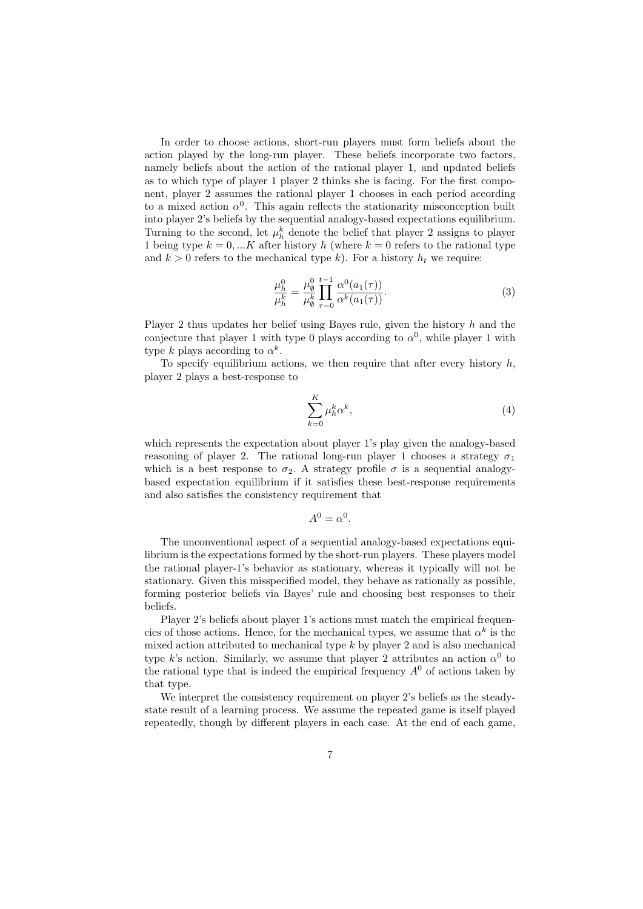In order to choose actions, short-run players must form beliefs about the action played by the long-run player. These beliefs incorporate two factors, namely beliefs about the action of the rational player 1, and updated beliefs as to which type of player 1 player 2 thinks she is facing. For the first component, player 2 assumes the rational player 1 chooses in each period according to a mixed action  $\alpha^0$ . This again reflects the stationarity misconception built into player 2's beliefs by the sequential analogy-based expectations equilibrium. Turning to the second, let  $\mu_h^k$  denote the belief that player 2 assigns to player 1 being type  $k = 0, \ldots K$  after history h (where  $k = 0$  refers to the rational type and  $k > 0$  refers to the mechanical type k). For a history  $h_t$  we require:

$$
\frac{\mu_h^0}{\mu_h^k} = \frac{\mu_\emptyset^0}{\mu_\emptyset^k} \prod_{\tau=0}^{t-1} \frac{\alpha^0(a_1(\tau))}{\alpha^k(a_1(\tau))}.
$$
\n(3)

Player 2 thus updates her belief using Bayes rule, given the history *h* and the conjecture that player 1 with type 0 plays according to  $\alpha^0$ , while player 1 with type *k* plays according to  $\alpha^k$ .

To specify equilibrium actions, we then require that after every history *h*, player 2 plays a best-response to

$$
\sum_{k=0}^{K} \mu_h^k \alpha^k, \tag{4}
$$

which represents the expectation about player 1's play given the analogy-based reasoning of player 2. The rational long-run player 1 chooses a strategy  $\sigma_1$ which is a best response to  $\sigma_2$ . A strategy profile  $\sigma$  is a sequential analogybased expectation equilibrium if it satisfies these best-response requirements and also satisfies the consistency requirement that

$$
A^0 = \alpha^0.
$$

The unconventional aspect of a sequential analogy-based expectations equilibrium is the expectations formed by the short-run players. These players model the rational player-1's behavior as stationary, whereas it typically will not be stationary. Given this misspecified model, they behave as rationally as possible, forming posterior beliefs via Bayes' rule and choosing best responses to their beliefs.

Player 2's beliefs about player 1's actions must match the empirical frequencies of those actions. Hence, for the mechanical types, we assume that  $\alpha^k$  is the mixed action attributed to mechanical type *k* by player 2 and is also mechanical type *k*'s action. Similarly, we assume that player 2 attributes an action  $\alpha^0$  to the rational type that is indeed the empirical frequency  $A^0$  of actions taken by that type.

We interpret the consistency requirement on player 2's beliefs as the steadystate result of a learning process. We assume the repeated game is itself played repeatedly, though by different players in each case. At the end of each game,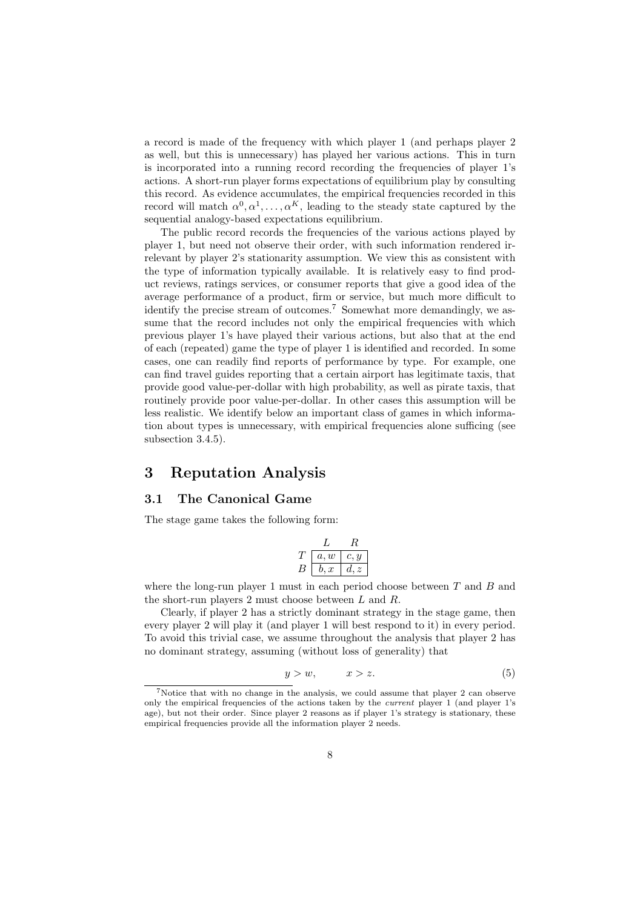a record is made of the frequency with which player 1 (and perhaps player 2 as well, but this is unnecessary) has played her various actions. This in turn is incorporated into a running record recording the frequencies of player 1's actions. A short-run player forms expectations of equilibrium play by consulting this record. As evidence accumulates, the empirical frequencies recorded in this record will match  $\alpha^0, \alpha^1, \ldots, \alpha^K$ , leading to the steady state captured by the sequential analogy-based expectations equilibrium.

The public record records the frequencies of the various actions played by player 1, but need not observe their order, with such information rendered irrelevant by player 2's stationarity assumption. We view this as consistent with the type of information typically available. It is relatively easy to find product reviews, ratings services, or consumer reports that give a good idea of the average performance of a product, firm or service, but much more difficult to identify the precise stream of outcomes.<sup>7</sup> Somewhat more demandingly, we assume that the record includes not only the empirical frequencies with which previous player 1's have played their various actions, but also that at the end of each (repeated) game the type of player 1 is identified and recorded. In some cases, one can readily find reports of performance by type. For example, one can find travel guides reporting that a certain airport has legitimate taxis, that provide good value-per-dollar with high probability, as well as pirate taxis, that routinely provide poor value-per-dollar. In other cases this assumption will be less realistic. We identify below an important class of games in which information about types is unnecessary, with empirical frequencies alone sufficing (see subsection 3.4.5).

# **3 Reputation Analysis**

## **3.1 The Canonical Game**

The stage game takes the following form:

$$
\frac{L}{B}\begin{array}{|c|c|}L&R\\ \hline a,w&c,y\\ \hline b,x&d,z \end{array}
$$

where the long-run player 1 must in each period choose between *T* and *B* and the short-run players 2 must choose between *L* and *R*.

Clearly, if player 2 has a strictly dominant strategy in the stage game, then every player 2 will play it (and player 1 will best respond to it) in every period. To avoid this trivial case, we assume throughout the analysis that player 2 has no dominant strategy, assuming (without loss of generality) that

$$
y > w, \qquad x > z. \tag{5}
$$

<sup>7</sup>Notice that with no change in the analysis, we could assume that player 2 can observe only the empirical frequencies of the actions taken by the *current* player 1 (and player 1's age), but not their order. Since player 2 reasons as if player 1's strategy is stationary, these empirical frequencies provide all the information player 2 needs.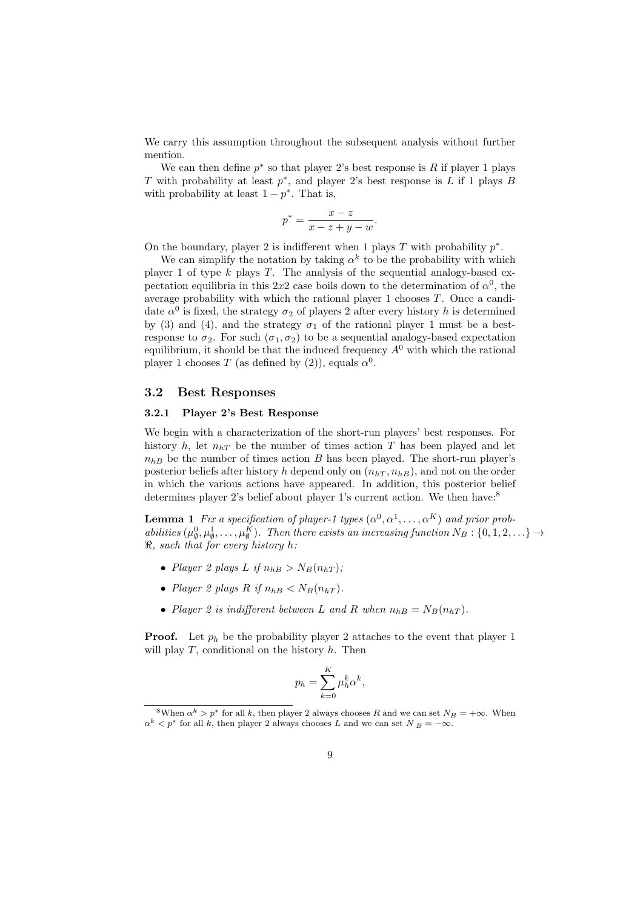We carry this assumption throughout the subsequent analysis without further mention.

We can then define  $p^*$  so that player 2's best response is  $R$  if player 1 plays *T* with probability at least *p ∗* , and player 2's best response is *L* if 1 plays *B* with probability at least  $1 - p^*$ . That is,

$$
p^* = \frac{x - z}{x - z + y - w}
$$

*.*

On the boundary, player 2 is indifferent when 1 plays  $T$  with probability  $p^*$ .

We can simplify the notation by taking  $\alpha^k$  to be the probability with which player 1 of type *k* plays *T*. The analysis of the sequential analogy-based expectation equilibria in this 2x2 case boils down to the determination of  $\alpha^0$ , the average probability with which the rational player 1 chooses *T*. Once a candidate  $\alpha^0$  is fixed, the strategy  $\sigma_2$  of players 2 after every history *h* is determined by (3) and (4), and the strategy  $\sigma_1$  of the rational player 1 must be a bestresponse to  $\sigma_2$ . For such  $(\sigma_1, \sigma_2)$  to be a sequential analogy-based expectation equilibrium, it should be that the induced frequency *A*<sup>0</sup> with which the rational player 1 chooses *T* (as defined by (2)), equals  $\alpha^0$ .

#### **3.2 Best Responses**

#### **3.2.1 Player 2's Best Response**

We begin with a characterization of the short-run players' best responses. For history  $h$ , let  $n<sub>hT</sub>$  be the number of times action  $T$  has been played and let  $n_{hB}$  be the number of times action *B* has been played. The short-run player's posterior beliefs after history *h* depend only on  $(n<sub>hT</sub>, n<sub>hB</sub>)$ , and not on the order in which the various actions have appeared. In addition, this posterior belief determines player 2's belief about player 1's current action. We then have:<sup>8</sup>

**Lemma 1** *Fix a specification of player-1 types*  $(\alpha^0, \alpha^1, \ldots, \alpha^K)$  *and prior probabilities*  $(\mu_{\emptyset}^0, \mu_{\emptyset}^1, \ldots, \mu_{\emptyset}^K)$ . Then there exists an increasing function  $N_B: \{0, 1, 2, \ldots\} \to$ *ℜ, such that for every history h:*

- *Player 2 plays L if*  $n_{bB} > N_B(n_{bT})$ ;
- *Player 2 plays R if*  $n_{bB} < N_B(n_{bT})$ *.*
- *Player* 2 *is indifferent between L and R when*  $n_{hB} = N_B(n_{hT})$ *.*

**Proof.** Let  $p_h$  be the probability player 2 attaches to the event that player 1 will play *T*, conditional on the history *h*. Then

$$
p_h = \sum_{k=0}^K \mu_h^k \alpha^k,
$$

<sup>&</sup>lt;sup>8</sup>When  $\alpha^k > p^*$  for all *k*, then player 2 always chooses *R* and we can set  $N_B = +\infty$ . When  $\alpha^k$  *< p*<sup>\*</sup> for all *k*, then player 2 always chooses *L* and we can set *N B* = *−*∞.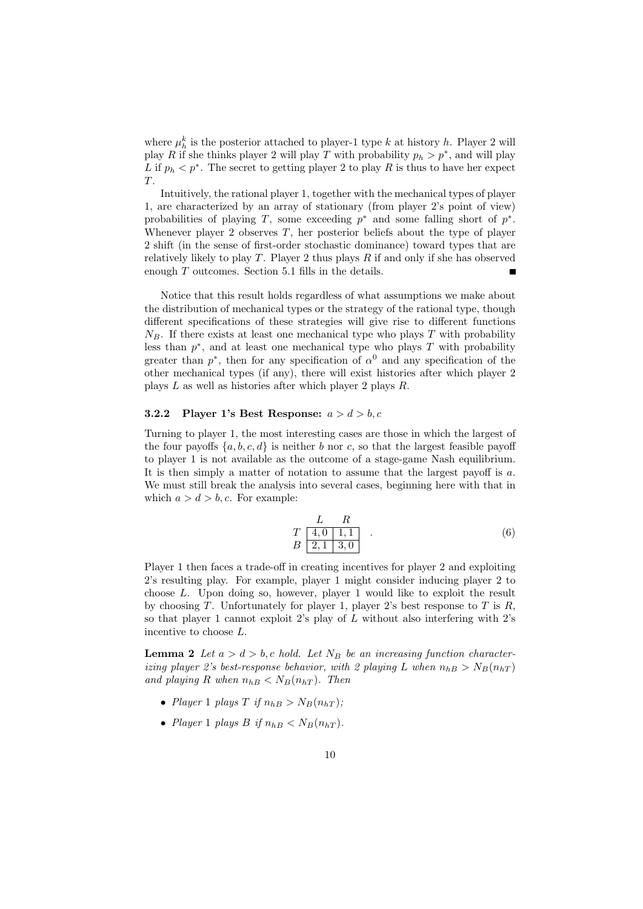where  $\mu_h^k$  is the posterior attached to player-1 type *k* at history *h*. Player 2 will play *R* if she thinks player 2 will play *T* with probability  $p_h > p^*$ , and will play *L* if  $p_h < p^*$ . The secret to getting player 2 to play *R* is thus to have her expect *T*.

Intuitively, the rational player 1, together with the mechanical types of player 1, are characterized by an array of stationary (from player 2's point of view) probabilities of playing *T*, some exceeding  $p^*$  and some falling short of  $p^*$ . Whenever player 2 observes *T*, her posterior beliefs about the type of player 2 shift (in the sense of first-order stochastic dominance) toward types that are relatively likely to play *T*. Player 2 thus plays *R* if and only if she has observed enough *T* outcomes. Section 5.1 fills in the details.

Notice that this result holds regardless of what assumptions we make about the distribution of mechanical types or the strategy of the rational type, though different specifications of these strategies will give rise to different functions  $N_B$ . If there exists at least one mechanical type who plays  $T$  with probability less than  $p^*$ , and at least one mechanical type who plays  $T$  with probability greater than  $p^*$ , then for any specification of  $\alpha^0$  and any specification of the other mechanical types (if any), there will exist histories after which player 2 plays *L* as well as histories after which player 2 plays *R*.

#### **3.2.2 Player 1's Best Response:** *a > d > b, c*

Turning to player 1, the most interesting cases are those in which the largest of the four payoffs  $\{a, b, c, d\}$  is neither *b* nor *c*, so that the largest feasible payoff to player 1 is not available as the outcome of a stage-game Nash equilibrium. It is then simply a matter of notation to assume that the largest payoff is *a*. We must still break the analysis into several cases, beginning here with that in which  $a > d > b$ , *c*. For example:

$$
\begin{array}{cc}\n & L & R \\
T & 4,0 & 1,1 \\
B & 2,1 & 3,0\n\end{array} .
$$
\n(6)

Player 1 then faces a trade-off in creating incentives for player 2 and exploiting 2's resulting play. For example, player 1 might consider inducing player 2 to choose *L*. Upon doing so, however, player 1 would like to exploit the result by choosing *T*. Unfortunately for player 1, player 2's best response to *T* is *R*, so that player 1 cannot exploit 2's play of *L* without also interfering with 2's incentive to choose *L*.

**Lemma 2** *Let*  $a > d > b$ , *c hold.* Let  $N_B$  *be an increasing function characterizing player 2's best-response behavior, with 2 playing L* when  $n_{hB} > N_B(n_{hT})$ *and playing R when*  $n_{hB} < N_B(n_{hT})$ *. Then* 

- *Player* 1 *plays*  $T$  *if*  $n_{hB} > N_B(n_{hT})$ ;
- *Player* 1 *plays B if*  $n_{hB} < N_B(n_{hT})$ .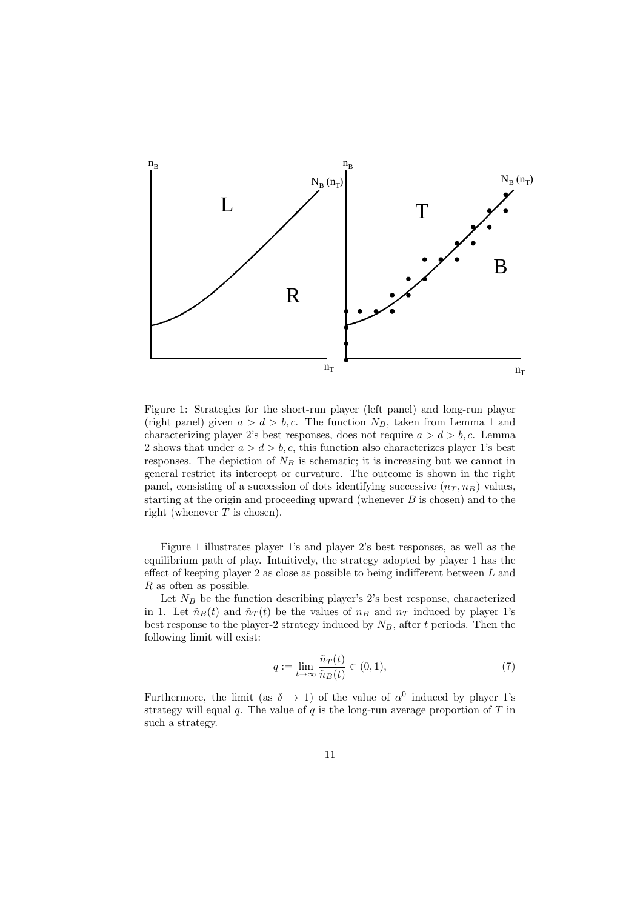

Figure 1: Strategies for the short-run player (left panel) and long-run player (right panel) given  $a > d > b$ , *c*. The function  $N_B$ , taken from Lemma 1 and characterizing player 2's best responses, does not require  $a > d > b, c$ . Lemma 2 shows that under  $a > d > b$ , c, this function also characterizes player 1's best responses. The depiction of *N<sup>B</sup>* is schematic; it is increasing but we cannot in general restrict its intercept or curvature. The outcome is shown in the right panel, consisting of a succession of dots identifying successive  $(n_T, n_B)$  values, starting at the origin and proceeding upward (whenever *B* is chosen) and to the right (whenever *T* is chosen).

Figure 1 illustrates player 1's and player 2's best responses, as well as the equilibrium path of play. Intuitively, the strategy adopted by player 1 has the effect of keeping player 2 as close as possible to being indifferent between *L* and *R* as often as possible.

Let  $N_B$  be the function describing player's 2's best response, characterized in 1. Let  $\tilde{n}_B(t)$  and  $\tilde{n}_T(t)$  be the values of  $n_B$  and  $n_T$  induced by player 1's best response to the player-2 strategy induced by *NB*, after *t* periods. Then the following limit will exist:

$$
q := \lim_{t \to \infty} \frac{\tilde{n}_T(t)}{\tilde{n}_B(t)} \in (0, 1),\tag{7}
$$

Furthermore, the limit (as  $\delta \rightarrow 1$ ) of the value of  $\alpha^0$  induced by player 1's strategy will equal *q*. The value of *q* is the long-run average proportion of *T* in such a strategy.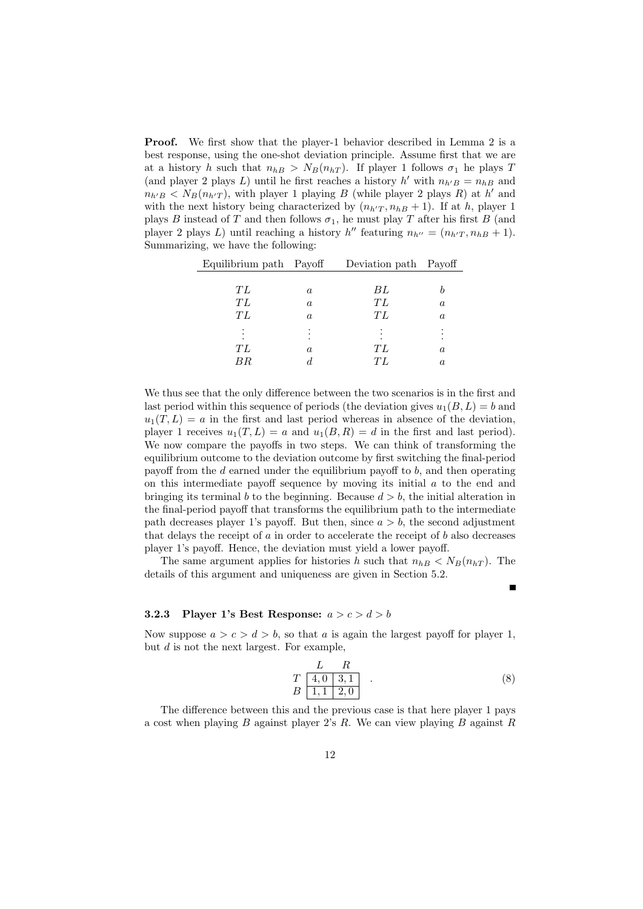**Proof.** We first show that the player-1 behavior described in Lemma 2 is a best response, using the one-shot deviation principle. Assume first that we are at a history *h* such that  $n_{hB} > N_B(n_{hT})$ . If player 1 follows  $\sigma_1$  he plays *T* (and player 2 plays *L*) until he first reaches a history  $h'$  with  $n_{h'B} = n_{hB}$  and  $n_{h'B}$  <  $N_B(n_{h'T})$ , with player 1 playing *B* (while player 2 plays *R*) at *h*<sup>*'*</sup> and with the next history being characterized by  $(n_{h'T}, n_{hB} + 1)$ . If at *h*, player 1 plays *B* instead of *T* and then follows  $\sigma_1$ , he must play *T* after his first *B* (and player 2 plays *L*) until reaching a history  $h''$  featuring  $n_{h''} = (n_{h'T}, n_{hB} + 1)$ . Summarizing, we have the following:

| Equilibrium path Payoff |          | Deviation path Payoff |                  |
|-------------------------|----------|-----------------------|------------------|
|                         |          |                       |                  |
| ТL                      | a        | ВL                    |                  |
| ТL                      | $\alpha$ | ТL                    | $\alpha$         |
| ТL                      | a        | ТL                    | $\boldsymbol{a}$ |
|                         |          |                       |                  |
| ŦL                      | a        | TΙ                    | $\it a$          |
| BR.                     |          | TL                    | $\boldsymbol{a}$ |

We thus see that the only difference between the two scenarios is in the first and last period within this sequence of periods (the deviation gives  $u_1(B, L) = b$  and  $u_1(T, L) = a$  in the first and last period whereas in absence of the deviation, player 1 receives  $u_1(T, L) = a$  and  $u_1(B, R) = d$  in the first and last period). We now compare the payoffs in two steps. We can think of transforming the equilibrium outcome to the deviation outcome by first switching the final-period payoff from the *d* earned under the equilibrium payoff to *b*, and then operating on this intermediate payoff sequence by moving its initial *a* to the end and bringing its terminal *b* to the beginning. Because  $d > b$ , the initial alteration in the final-period payoff that transforms the equilibrium path to the intermediate path decreases player 1's payoff. But then, since  $a > b$ , the second adjustment that delays the receipt of *a* in order to accelerate the receipt of *b* also decreases player 1's payoff. Hence, the deviation must yield a lower payoff.

The same argument applies for histories *h* such that  $n_{hB} < N_B(n_{hT})$ . The details of this argument and uniqueness are given in Section 5.2.

#### **3.2.3** Player 1's Best Response:  $a > c > d > b$

Now suppose  $a > c > d > b$ , so that *a* is again the largest payoff for player 1, but *d* is not the next largest. For example,

$$
\begin{array}{cc}\n & L & R \\
T & 4,0 & 3,1 \\
B & 1,1 & 2,0\n\end{array} .
$$
\n(8)

The difference between this and the previous case is that here player 1 pays a cost when playing *B* against player 2's *R*. We can view playing *B* against *R*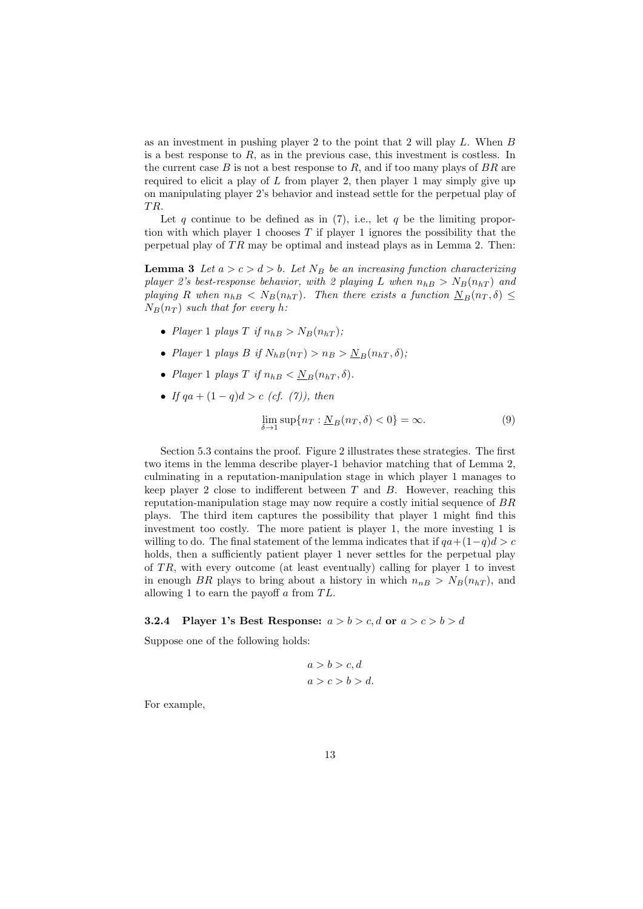as an investment in pushing player 2 to the point that 2 will play *L*. When *B* is a best response to *R*, as in the previous case, this investment is costless. In the current case *B* is not a best response to *R*, and if too many plays of *BR* are required to elicit a play of *L* from player 2, then player 1 may simply give up on manipulating player 2's behavior and instead settle for the perpetual play of *T R*.

Let *q* continue to be defined as in (7), i.e., let *q* be the limiting proportion with which player 1 chooses *T* if player 1 ignores the possibility that the perpetual play of *T R* may be optimal and instead plays as in Lemma 2. Then:

**Lemma 3** *Let*  $a > c > d > b$ *. Let*  $N_B$  *be an increasing function characterizing player 2's best-response behavior, with 2 playing L* when  $n_{hB} > N_B(n_{hT})$  and *playing R* when  $n_{hB} < N_B(n_{hT})$ . Then there exists a function  $N_B(n_T, \delta) \le$  $N_B(n_T)$  *such that for every h*:

- *Player* 1 *plays*  $T$  *if*  $n_{hB} > N_B(n_{hT})$ ;
- *Player* 1 *plays B if*  $N_{hB}(n_T) > n_B > N_B(n_{hT}, \delta)$ ;
- *Player* 1 *plays*  $T$  *if*  $n_{hB} < N_B(n_{hT}, \delta)$ .
- *• If qa* + (1 *− q*)*d > c (cf. (7)), then*

$$
\lim_{\delta \to 1} \sup \{ n_T : \underline{N}_B(n_T, \delta) < 0 \} = \infty. \tag{9}
$$

Section 5.3 contains the proof. Figure 2 illustrates these strategies. The first two items in the lemma describe player-1 behavior matching that of Lemma 2, culminating in a reputation-manipulation stage in which player 1 manages to keep player 2 close to indifferent between *T* and *B*. However, reaching this reputation-manipulation stage may now require a costly initial sequence of *BR* plays. The third item captures the possibility that player 1 might find this investment too costly. The more patient is player 1, the more investing 1 is willing to do. The final statement of the lemma indicates that if  $qa + (1-q)d > c$ holds, then a sufficiently patient player 1 never settles for the perpetual play of *T R*, with every outcome (at least eventually) calling for player 1 to invest in enough *BR* plays to bring about a history in which  $n_{nB} > N_B(n_{hT})$ , and allowing 1 to earn the payoff *a* from *T L*.

#### **3.2.4** Player 1's Best Response:  $a > b > c$ , d or  $a > c > b > d$

Suppose one of the following holds:

$$
a > b > c, d
$$
\n
$$
a > c > b > d.
$$

For example,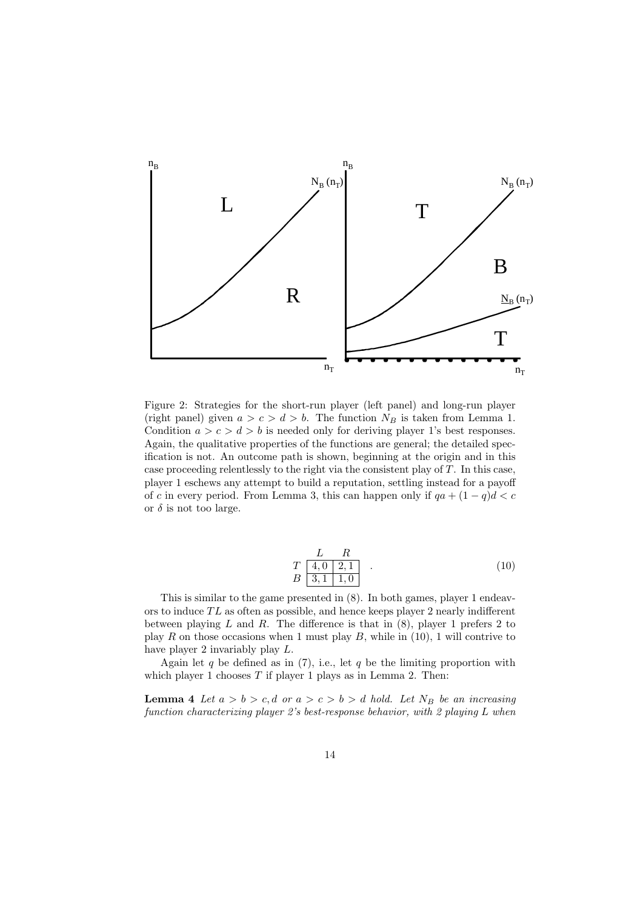

Figure 2: Strategies for the short-run player (left panel) and long-run player (right panel) given  $a > c > d > b$ . The function  $N_B$  is taken from Lemma 1. Condition  $a > c > d > b$  is needed only for deriving player 1's best responses. Again, the qualitative properties of the functions are general; the detailed specification is not. An outcome path is shown, beginning at the origin and in this case proceeding relentlessly to the right via the consistent play of *T*. In this case, player 1 eschews any attempt to build a reputation, settling instead for a payoff of *c* in every period. From Lemma 3, this can happen only if  $qa + (1 - q)d < c$ or  $\delta$  is not too large.

$$
\begin{array}{cc}\n & L & R \\
T & 4,0 & 2,1 \\
B & 3,1 & 1,0\n\end{array} . \tag{10}
$$

This is similar to the game presented in (8). In both games, player 1 endeavors to induce *T L* as often as possible, and hence keeps player 2 nearly indifferent between playing *L* and *R*. The difference is that in (8), player 1 prefers 2 to play *R* on those occasions when 1 must play *B*, while in (10), 1 will contrive to have player 2 invariably play *L*.

Again let  $q$  be defined as in (7), i.e., let  $q$  be the limiting proportion with which player 1 chooses *T* if player 1 plays as in Lemma 2. Then:

**Lemma 4** *Let*  $a > b > c$ ,  $d$  *or*  $a > c > b > d$  *hold.* Let  $N_B$  *be an increasing function characterizing player 2's best-response behavior, with 2 playing L when*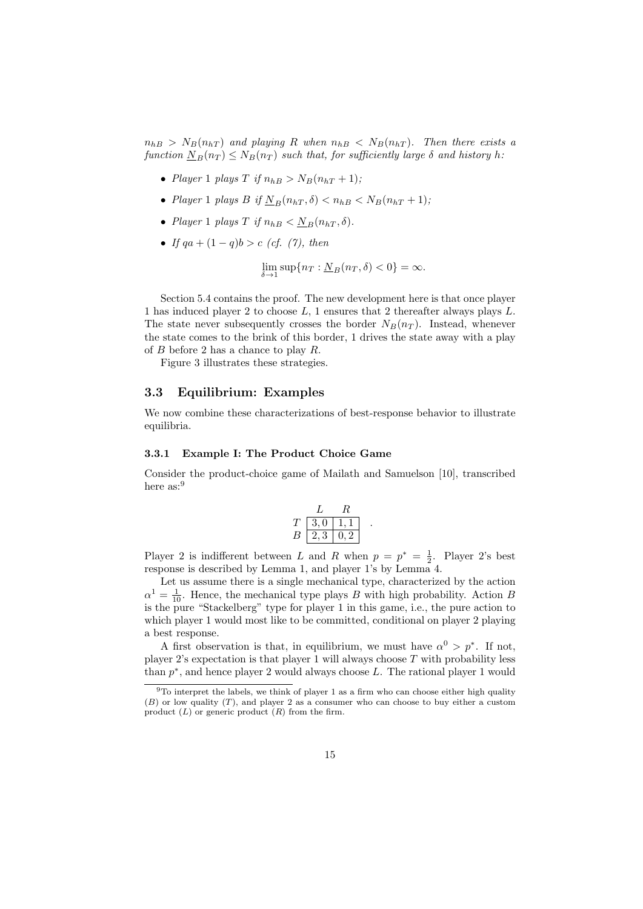$n_{hB}$  >  $N_B(n_{hT})$  *and playing R when*  $n_{hB}$  <  $N_B(n_{hT})$ *. Then there exists a function*  $N_B(n_T) \leq N_B(n_T)$  *such that, for sufficiently large*  $\delta$  *and history*  $h$ *:* 

- *Player* 1 *plays*  $T$  *if*  $n_{bB} > N_B(n_{bT} + 1)$ ;
- *Player* 1 *plays B if*  $N_B(n_{hT}, \delta) < n_{hB} < N_B(n_{hT} + 1)$ ;
- *Player* 1 *plays*  $T$  *if*  $n_{hB} < N_B(n_{hT}, \delta)$ .
- *• If qa* + (1 *− q*)*b > c (cf. (7), then*

$$
\lim_{\delta \to 1} \sup \{ n_T : \underline{N}_B(n_T, \delta) < 0 \} = \infty.
$$

Section 5.4 contains the proof. The new development here is that once player 1 has induced player 2 to choose *L*, 1 ensures that 2 thereafter always plays *L*. The state never subsequently crosses the border  $N_B(n_T)$ . Instead, whenever the state comes to the brink of this border, 1 drives the state away with a play of *B* before 2 has a chance to play *R*.

Figure 3 illustrates these strategies.

#### **3.3 Equilibrium: Examples**

We now combine these characterizations of best-response behavior to illustrate equilibria.

#### **3.3.1 Example I: The Product Choice Game**

Consider the product-choice game of Mailath and Samuelson [10], transcribed here as:<sup>9</sup>

$$
\begin{array}{c|c}\n & R \\
\hline\nT \boxed{3,0} \boxed{1,1} \\
B \boxed{2,3} \boxed{0,2}\n\end{array}
$$

*.*

Player 2 is indifferent between *L* and *R* when  $p = p^* = \frac{1}{2}$ . Player 2's best response is described by Lemma 1, and player 1's by Lemma 4.

Let us assume there is a single mechanical type, characterized by the action  $\alpha^1 = \frac{1}{10}$ . Hence, the mechanical type plays *B* with high probability. Action *B* is the pure "Stackelberg" type for player 1 in this game, i.e., the pure action to which player 1 would most like to be committed, conditional on player 2 playing a best response.

A first observation is that, in equilibrium, we must have  $\alpha^0 > p^*$ . If not, player 2's expectation is that player 1 will always choose *T* with probability less than *p ∗* , and hence player 2 would always choose *L*. The rational player 1 would

 $9T$ o interpret the labels, we think of player 1 as a firm who can choose either high quality (*B*) or low quality (*T*), and player 2 as a consumer who can choose to buy either a custom product (*L*) or generic product (*R*) from the firm.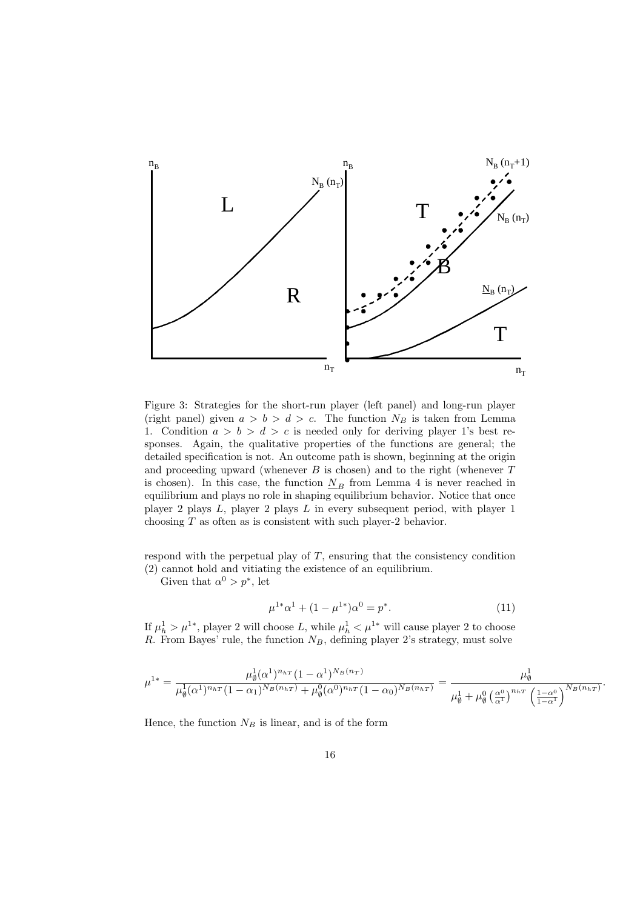

Figure 3: Strategies for the short-run player (left panel) and long-run player (right panel) given  $a > b > d > c$ . The function  $N_B$  is taken from Lemma 1. Condition  $a > b > d > c$  is needed only for deriving player 1's best responses. Again, the qualitative properties of the functions are general; the detailed specification is not. An outcome path is shown, beginning at the origin and proceeding upward (whenever *B* is chosen) and to the right (whenever *T* is chosen). In this case, the function  $N_B$  from Lemma 4 is never reached in equilibrium and plays no role in shaping equilibrium behavior. Notice that once player 2 plays *L*, player 2 plays *L* in every subsequent period, with player 1 choosing *T* as often as is consistent with such player-2 behavior.

respond with the perpetual play of *T*, ensuring that the consistency condition (2) cannot hold and vitiating the existence of an equilibrium.

Given that  $\alpha^0 > p^*$ , let

$$
\mu^{1*}\alpha^1 + (1 - \mu^{1*})\alpha^0 = p^*.
$$
 (11)

*.*

If  $\mu_h^1 > \mu^{1*}$ , player 2 will choose *L*, while  $\mu_h^1 < \mu^{1*}$  will cause player 2 to choose *R*. From Bayes' rule, the function *NB*, defining player 2's strategy, must solve

$$
\mu^{1*} = \frac{\mu_{\emptyset}^1 (\alpha^1)^{n_{hT}} (1 - \alpha^1)^{N_B(n_T)}}{\mu_{\emptyset}^1 (\alpha^1)^{n_{hT}} (1 - \alpha_1)^{N_B(n_{hT})} + \mu_{\emptyset}^0 (\alpha^0)^{n_{hT}} (1 - \alpha_0)^{N_B(n_{hT})}} = \frac{\mu_{\emptyset}^1}{\mu_{\emptyset}^1 + \mu_{\emptyset}^0 (\frac{\alpha^0}{\alpha^1})^{n_{hT}} (\frac{1 - \alpha^0}{1 - \alpha^1})^{N_B(n_{hT})}}
$$

Hence, the function  $N_B$  is linear, and is of the form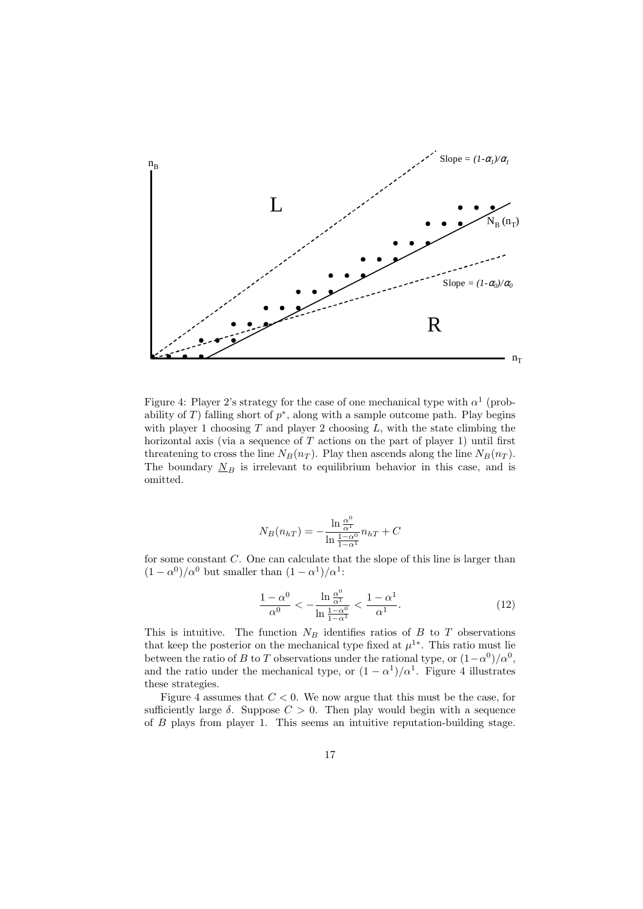

Figure 4: Player 2's strategy for the case of one mechanical type with  $\alpha^1$  (probability of *T*) falling short of  $p^*$ , along with a sample outcome path. Play begins with player 1 choosing *T* and player 2 choosing *L*, with the state climbing the horizontal axis (via a sequence of *T* actions on the part of player 1) until first threatening to cross the line  $N_B(n_T)$ . Play then ascends along the line  $N_B(n_T)$ . The boundary  $N_B$  is irrelevant to equilibrium behavior in this case, and is omitted.

$$
N_B(n_{hT}) = -\frac{\ln \frac{\alpha^0}{\alpha^1}}{\ln \frac{1-\alpha^0}{1-\alpha^1}} n_{hT} + C
$$

for some constant *C*. One can calculate that the slope of this line is larger than  $(1 - \alpha^0)/\alpha^0$  but smaller than  $(1 - \alpha^1)/\alpha^1$ :

$$
\frac{1-\alpha^0}{\alpha^0} < -\frac{\ln\frac{\alpha^0}{\alpha^1}}{\ln\frac{1-\alpha^0}{1-\alpha^1}} < \frac{1-\alpha^1}{\alpha^1}.\tag{12}
$$

This is intuitive. The function  $N_B$  identifies ratios of  $B$  to  $T$  observations that keep the posterior on the mechanical type fixed at  $\mu^{1*}$ . This ratio must lie between the ratio of *B* to *T* observations under the rational type, or  $(1 - \alpha^0)/\alpha^0$ , and the ratio under the mechanical type, or  $(1 - \alpha^1)/\alpha^1$ . Figure 4 illustrates these strategies.

Figure 4 assumes that *C <* 0. We now argue that this must be the case, for sufficiently large  $\delta$ . Suppose  $C > 0$ . Then play would begin with a sequence of *B* plays from player 1. This seems an intuitive reputation-building stage.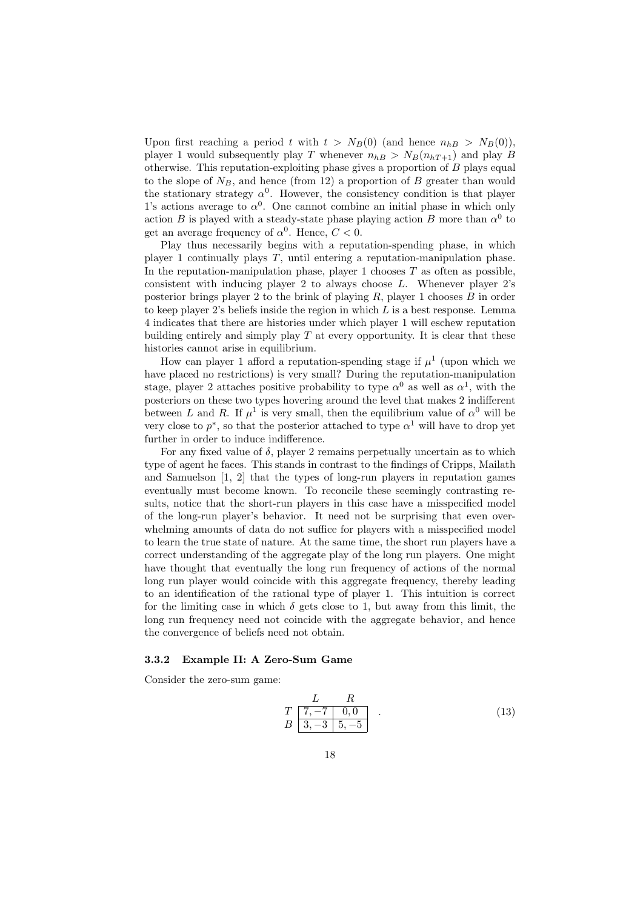Upon first reaching a period *t* with  $t > N_B(0)$  (and hence  $n_{h, B} > N_B(0)$ ), player 1 would subsequently play *T* whenever  $n_{hB} > N_B(n_{hT+1})$  and play *B* otherwise. This reputation-exploiting phase gives a proportion of *B* plays equal to the slope of  $N_B$ , and hence (from 12) a proportion of *B* greater than would the stationary strategy  $\alpha^0$ . However, the consistency condition is that player 1's actions average to  $\alpha^0$ . One cannot combine an initial phase in which only action *B* is played with a steady-state phase playing action *B* more than  $\alpha^0$  to get an average frequency of  $\alpha^0$ . Hence,  $C < 0$ .

Play thus necessarily begins with a reputation-spending phase, in which player 1 continually plays *T*, until entering a reputation-manipulation phase. In the reputation-manipulation phase, player 1 chooses  $T$  as often as possible, consistent with inducing player 2 to always choose *L*. Whenever player 2's posterior brings player 2 to the brink of playing *R*, player 1 chooses *B* in order to keep player 2's beliefs inside the region in which *L* is a best response. Lemma 4 indicates that there are histories under which player 1 will eschew reputation building entirely and simply play *T* at every opportunity. It is clear that these histories cannot arise in equilibrium.

How can player 1 afford a reputation-spending stage if  $\mu^1$  (upon which we have placed no restrictions) is very small? During the reputation-manipulation stage, player 2 attaches positive probability to type  $\alpha^0$  as well as  $\alpha^1$ , with the posteriors on these two types hovering around the level that makes 2 indifferent between *L* and *R*. If  $\mu^1$  is very small, then the equilibrium value of  $\alpha^0$  will be very close to  $p^*$ , so that the posterior attached to type  $\alpha^1$  will have to drop yet further in order to induce indifference.

For any fixed value of  $\delta$ , player 2 remains perpetually uncertain as to which type of agent he faces. This stands in contrast to the findings of Cripps, Mailath and Samuelson [1, 2] that the types of long-run players in reputation games eventually must become known. To reconcile these seemingly contrasting results, notice that the short-run players in this case have a misspecified model of the long-run player's behavior. It need not be surprising that even overwhelming amounts of data do not suffice for players with a misspecified model to learn the true state of nature. At the same time, the short run players have a correct understanding of the aggregate play of the long run players. One might have thought that eventually the long run frequency of actions of the normal long run player would coincide with this aggregate frequency, thereby leading to an identification of the rational type of player 1. This intuition is correct for the limiting case in which  $\delta$  gets close to 1, but away from this limit, the long run frequency need not coincide with the aggregate behavior, and hence the convergence of beliefs need not obtain.

#### **3.3.2 Example II: A Zero-Sum Game**

Consider the zero-sum game:

$$
\begin{array}{cc}\nL & R \\
T & \boxed{7, -7} & 0, 0 \\
B & 3, -3 & 5, -5\n\end{array} . \tag{13}
$$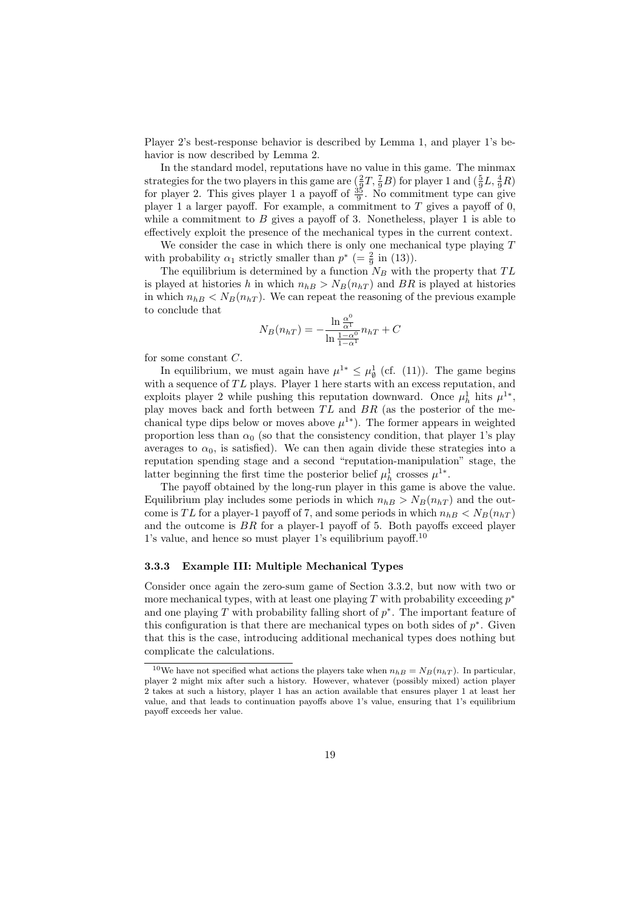Player 2's best-response behavior is described by Lemma 1, and player 1's behavior is now described by Lemma 2.

In the standard model, reputations have no value in this game. The minmax strategies for the two players in this game are  $(\frac{2}{9}T, \frac{7}{9}B)$  for player 1 and  $(\frac{5}{9}L, \frac{4}{9}R)$ for player 2. This gives player 1 a payoff of  $\frac{35}{9}$ . No commitment type can give player 1 a larger payoff. For example, a commitment to *T* gives a payoff of 0, while a commitment to *B* gives a payoff of 3. Nonetheless, player 1 is able to effectively exploit the presence of the mechanical types in the current context.

We consider the case in which there is only one mechanical type playing *T* with probability  $\alpha_1$  strictly smaller than  $p^*$  (=  $\frac{2}{9}$  in (13)).

The equilibrium is determined by a function  $N_B$  with the property that  $TL$ is played at histories *h* in which  $n_{hB} > N_B(n_{hT})$  and *BR* is played at histories in which  $n_{hB} < N_B(n_{hT})$ . We can repeat the reasoning of the previous example to conclude that

$$
N_B(n_{hT}) = -\frac{\ln \frac{\alpha^0}{\alpha^1}}{\ln \frac{1-\alpha^0}{1-\alpha^1}} n_{hT} + C
$$

for some constant *C*.

In equilibrium, we must again have  $\mu^{1*} \leq \mu_{\emptyset}^1$  (cf. (11)). The game begins with a sequence of  $TL$  plays. Player 1 here starts with an excess reputation, and exploits player 2 while pushing this reputation downward. Once  $\mu_h^1$  hits  $\mu^{1*}$ , play moves back and forth between *T L* and *BR* (as the posterior of the mechanical type dips below or moves above  $\mu^{1*}$ ). The former appears in weighted proportion less than  $\alpha_0$  (so that the consistency condition, that player 1's play averages to  $\alpha_0$ , is satisfied). We can then again divide these strategies into a reputation spending stage and a second "reputation-manipulation" stage, the latter beginning the first time the posterior belief  $\mu_h^1$  crosses  $\mu^{1*}$ .

The payoff obtained by the long-run player in this game is above the value. Equilibrium play includes some periods in which  $n_{hB} > N_B(n_{hT})$  and the outcome is *TL* for a player-1 payoff of 7, and some periods in which  $n_{hB} < N_B(n_{hT})$ and the outcome is *BR* for a player-1 payoff of 5. Both payoffs exceed player 1's value, and hence so must player 1's equilibrium payoff.<sup>10</sup>

#### **3.3.3 Example III: Multiple Mechanical Types**

Consider once again the zero-sum game of Section 3.3.2, but now with two or more mechanical types, with at least one playing *T* with probability exceeding *p ∗* and one playing *T* with probability falling short of *p ∗* . The important feature of this configuration is that there are mechanical types on both sides of *p ∗* . Given that this is the case, introducing additional mechanical types does nothing but complicate the calculations.

<sup>&</sup>lt;sup>10</sup>We have not specified what actions the players take when  $n_{hB} = N_B(n_{hT})$ . In particular, player 2 might mix after such a history. However, whatever (possibly mixed) action player 2 takes at such a history, player 1 has an action available that ensures player 1 at least her value, and that leads to continuation payoffs above 1's value, ensuring that 1's equilibrium payoff exceeds her value.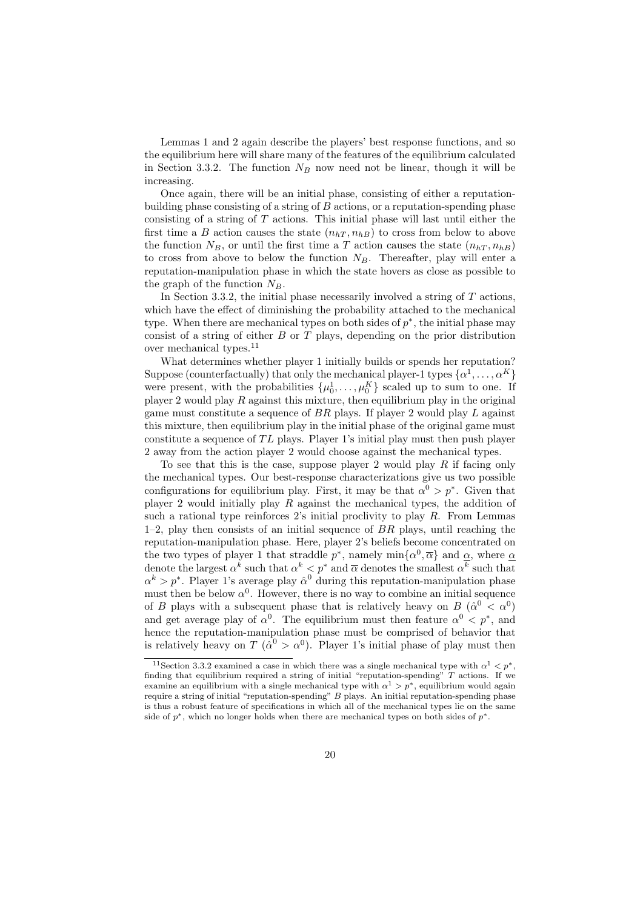Lemmas 1 and 2 again describe the players' best response functions, and so the equilibrium here will share many of the features of the equilibrium calculated in Section 3.3.2. The function  $N_B$  now need not be linear, though it will be increasing.

Once again, there will be an initial phase, consisting of either a reputationbuilding phase consisting of a string of *B* actions, or a reputation-spending phase consisting of a string of *T* actions. This initial phase will last until either the first time a *B* action causes the state  $(n<sub>hT</sub>, n<sub>hB</sub>)$  to cross from below to above the function  $N_B$ , or until the first time a *T* action causes the state  $(n_{hT}, n_{hB})$ to cross from above to below the function  $N_B$ . Thereafter, play will enter a reputation-manipulation phase in which the state hovers as close as possible to the graph of the function  $N_B$ .

In Section 3.3.2, the initial phase necessarily involved a string of *T* actions, which have the effect of diminishing the probability attached to the mechanical type. When there are mechanical types on both sides of *p ∗* , the initial phase may consist of a string of either *B* or *T* plays, depending on the prior distribution over mechanical types.<sup>11</sup>

What determines whether player 1 initially builds or spends her reputation? Suppose (counterfactually) that only the mechanical player-1 types  $\{\alpha^1, \ldots, \alpha^K\}$ were present, with the probabilities  $\{\mu_0^1, \ldots, \mu_0^K\}$  scaled up to sum to one. If player 2 would play *R* against this mixture, then equilibrium play in the original game must constitute a sequence of *BR* plays. If player 2 would play *L* against this mixture, then equilibrium play in the initial phase of the original game must constitute a sequence of *T L* plays. Player 1's initial play must then push player 2 away from the action player 2 would choose against the mechanical types.

To see that this is the case, suppose player 2 would play *R* if facing only the mechanical types. Our best-response characterizations give us two possible configurations for equilibrium play. First, it may be that  $\alpha^0 > p^*$ . Given that player 2 would initially play *R* against the mechanical types, the addition of such a rational type reinforces 2's initial proclivity to play *R*. From Lemmas 1–2, play then consists of an initial sequence of *BR* plays, until reaching the reputation-manipulation phase. Here, player 2's beliefs become concentrated on the two types of player 1 that straddle  $p^*$ , namely  $\min\{\alpha^0, \overline{\alpha}\}\$  and  $\underline{\alpha}$ , where  $\underline{\alpha}$ denote the largest  $\alpha^k$  such that  $\alpha^k < p^*$  and  $\overline{\alpha}$  denotes the smallest  $\alpha^k$  such that  $\alpha^k > p^*$ . Player 1's average play  $\hat{\alpha}^0$  during this reputation-manipulation phase must then be below  $\alpha^0$ . However, there is no way to combine an initial sequence of *B* plays with a subsequent phase that is relatively heavy on *B* ( $\hat{\alpha}^0 < \alpha^0$ ) and get average play of  $\alpha^0$ . The equilibrium must then feature  $\alpha^0 < p^*$ , and hence the reputation-manipulation phase must be comprised of behavior that is relatively heavy on *T* ( $\hat{\alpha}^0 > \alpha^0$ ). Player 1's initial phase of play must then

<sup>&</sup>lt;sup>11</sup> Section 3.3.2 examined a case in which there was a single mechanical type with  $\alpha^1 < p^*$ , finding that equilibrium required a string of initial "reputation-spending" *T* actions. If we examine an equilibrium with a single mechanical type with  $\alpha^1 > p^*$ , equilibrium would again require a string of initial "reputation-spending" *B* plays. An initial reputation-spending phase is thus a robust feature of specifications in which all of the mechanical types lie on the same side of  $p^*$ , which no longer holds when there are mechanical types on both sides of  $p^*$ .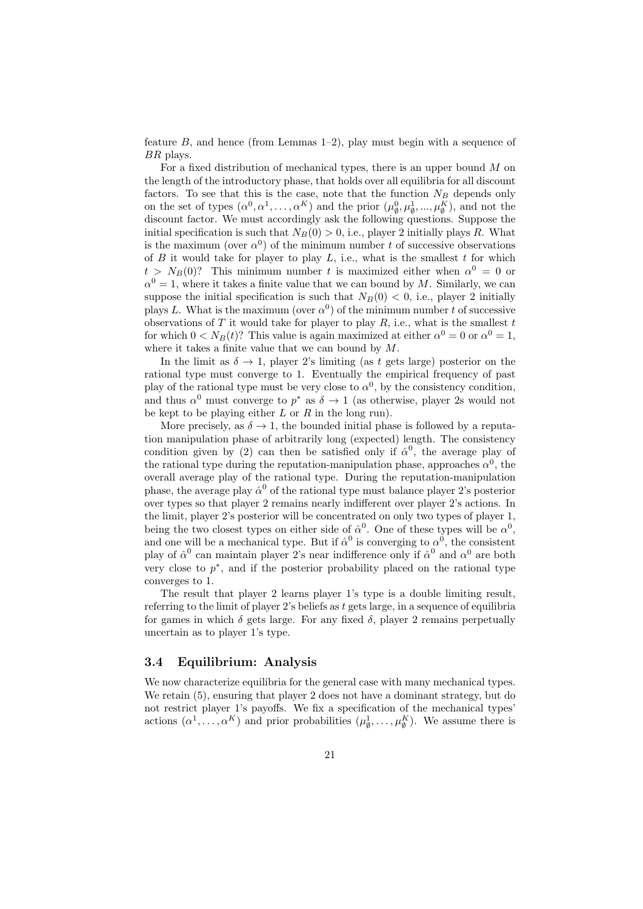feature *B*, and hence (from Lemmas 1–2), play must begin with a sequence of *BR* plays.

For a fixed distribution of mechanical types, there is an upper bound *M* on the length of the introductory phase, that holds over all equilibria for all discount factors. To see that this is the case, note that the function  $N_B$  depends only on the set of types  $(\alpha^0, \alpha^1, \dots, \alpha^K)$  and the prior  $(\mu_\emptyset^0, \mu_\emptyset^1, \dots, \mu_\emptyset^K)$ , and not the discount factor. We must accordingly ask the following questions. Suppose the initial specification is such that  $N_B(0) > 0$ , i.e., player 2 initially plays *R*. What is the maximum (over  $\alpha^0$ ) of the minimum number *t* of successive observations of  $B$  it would take for player to play  $L$ , i.e., what is the smallest  $t$  for which  $t > N_B(0)$ ? This minimum number *t* is maximized either when  $\alpha^0 = 0$  or  $\alpha^0 = 1$ , where it takes a finite value that we can bound by *M*. Similarly, we can suppose the initial specification is such that  $N_B(0) < 0$ , i.e., player 2 initially plays *L*. What is the maximum (over  $\alpha^0$ ) of the minimum number *t* of successive observations of  $T$  it would take for player to play  $R$ , i.e., what is the smallest  $t$ for which  $0 < N_B(t)$ ? This value is again maximized at either  $\alpha^0 = 0$  or  $\alpha^0 = 1$ , where it takes a finite value that we can bound by *M*.

In the limit as  $\delta \rightarrow 1$ , player 2's limiting (as t gets large) posterior on the rational type must converge to 1. Eventually the empirical frequency of past play of the rational type must be very close to  $\alpha^0$ , by the consistency condition, and thus  $\alpha^0$  must converge to  $p^*$  as  $\delta \to 1$  (as otherwise, player 2s would not be kept to be playing either *L* or *R* in the long run).

More precisely, as  $\delta \to 1$ , the bounded initial phase is followed by a reputation manipulation phase of arbitrarily long (expected) length. The consistency condition given by (2) can then be satisfied only if  $\hat{\alpha}^0$ , the average play of the rational type during the reputation-manipulation phase, approaches  $\alpha^0$ , the overall average play of the rational type. During the reputation-manipulation phase, the average play  $\hat{\alpha}^0$  of the rational type must balance player 2's posterior over types so that player 2 remains nearly indifferent over player 2's actions. In the limit, player 2's posterior will be concentrated on only two types of player 1, being the two closest types on either side of  $\hat{\alpha}^0$ . One of these types will be  $\alpha^0$ , and one will be a mechanical type. But if  $\hat{\alpha}^0$  is converging to  $\alpha^0$ , the consistent play of  $\hat{\alpha}^0$  can maintain player 2's near indifference only if  $\hat{\alpha}^0$  and  $\alpha^0$  are both very close to  $p^*$ , and if the posterior probability placed on the rational type converges to 1.

The result that player 2 learns player 1's type is a double limiting result, referring to the limit of player 2's beliefs as *t* gets large, in a sequence of equilibria for games in which  $\delta$  gets large. For any fixed  $\delta$ , player 2 remains perpetually uncertain as to player 1's type.

## **3.4 Equilibrium: Analysis**

We now characterize equilibria for the general case with many mechanical types. We retain (5), ensuring that player 2 does not have a dominant strategy, but do not restrict player 1's payoffs. We fix a specification of the mechanical types' actions  $(\alpha^1, \ldots, \alpha^K)$  and prior probabilities  $(\mu^1_{\emptyset}, \ldots, \mu^K_{\emptyset})$ . We assume there is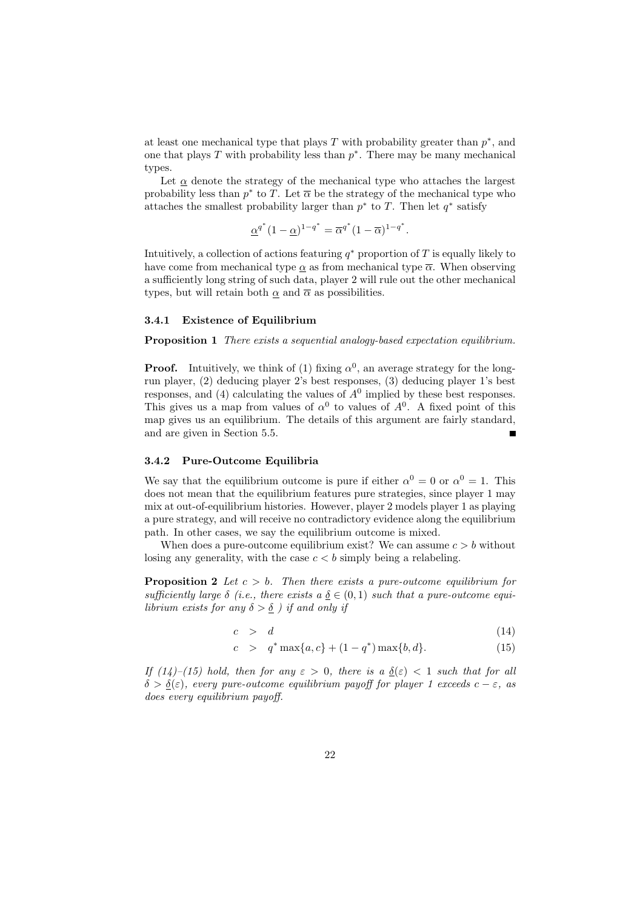at least one mechanical type that plays *T* with probability greater than *p ∗* , and one that plays *T* with probability less than *p ∗* . There may be many mechanical types.

Let  $\alpha$  denote the strategy of the mechanical type who attaches the largest probability less than  $p^*$  to *T*. Let  $\overline{\alpha}$  be the strategy of the mechanical type who attaches the smallest probability larger than *p ∗* to *T*. Then let *q ∗* satisfy

$$
\underline{\alpha}^{q^*}(1-\underline{\alpha})^{1-q^*} = \overline{\alpha}^{q^*}(1-\overline{\alpha})^{1-q^*}.
$$

Intuitively, a collection of actions featuring  $q^*$  proportion of  $T$  is equally likely to have come from mechanical type  $\alpha$  as from mechanical type  $\overline{\alpha}$ . When observing a sufficiently long string of such data, player 2 will rule out the other mechanical types, but will retain both  $\alpha$  and  $\overline{\alpha}$  as possibilities.

#### **3.4.1 Existence of Equilibrium**

**Proposition 1** *There exists a sequential analogy-based expectation equilibrium.*

**Proof.** Intuitively, we think of (1) fixing  $\alpha^0$ , an average strategy for the longrun player, (2) deducing player 2's best responses, (3) deducing player 1's best responses, and  $(4)$  calculating the values of  $A<sup>0</sup>$  implied by these best responses. This gives us a map from values of  $\alpha^0$  to values of  $A^0$ . A fixed point of this map gives us an equilibrium. The details of this argument are fairly standard, and are given in Section 5.5.  $\blacksquare$ 

#### **3.4.2 Pure-Outcome Equilibria**

We say that the equilibrium outcome is pure if either  $\alpha^0 = 0$  or  $\alpha^0 = 1$ . This does not mean that the equilibrium features pure strategies, since player 1 may mix at out-of-equilibrium histories. However, player 2 models player 1 as playing a pure strategy, and will receive no contradictory evidence along the equilibrium path. In other cases, we say the equilibrium outcome is mixed.

When does a pure-outcome equilibrium exist? We can assume  $c > b$  without losing any generality, with the case  $c < b$  simply being a relabeling.

**Proposition 2** *Let c > b. Then there exists a pure-outcome equilibrium for sufficiently large*  $\delta$  (*i.e., there exists*  $a \underline{\delta} \in (0,1)$  *such that a pure-outcome equilibrium exists for any*  $\delta > \underline{\delta}$  *) if and only if* 

$$
c > d \tag{14}
$$

$$
c > q^* \max\{a, c\} + (1 - q^*) \max\{b, d\}.
$$
 (15)

*If*  $(14)$ – $(15)$  hold, then for any  $\varepsilon > 0$ , there is a  $\delta(\varepsilon) < 1$  such that for all  $\delta > \delta(\varepsilon)$ *, every pure-outcome equilibrium payoff for player 1 exceeds c –*  $\varepsilon$ *, as does every equilibrium payoff.*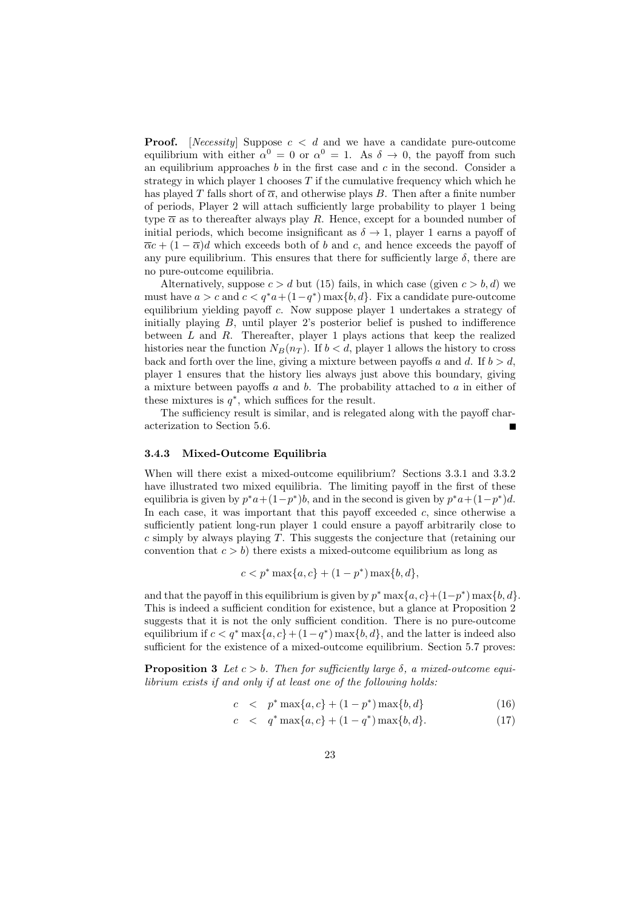**Proof.** [*Necessity*] Suppose *c < d* and we have a candidate pure-outcome equilibrium with either  $\alpha^0 = 0$  or  $\alpha^0 = 1$ . As  $\delta \to 0$ , the payoff from such an equilibrium approaches *b* in the first case and *c* in the second. Consider a strategy in which player 1 chooses *T* if the cumulative frequency which which he has played *T* falls short of  $\overline{\alpha}$ , and otherwise plays *B*. Then after a finite number of periods, Player 2 will attach sufficiently large probability to player 1 being type  $\bar{\alpha}$  as to thereafter always play *R*. Hence, except for a bounded number of initial periods, which become insignificant as  $\delta \rightarrow 1$ , player 1 earns a payoff of  $\overline{\alpha}c$  +  $(1 - \overline{\alpha})d$  which exceeds both of *b* and *c*, and hence exceeds the payoff of any pure equilibrium. This ensures that there for sufficiently large  $\delta$ , there are no pure-outcome equilibria.

Alternatively, suppose  $c > d$  but (15) fails, in which case (given  $c > b, d$ ) we must have  $a > c$  and  $c < q^*a + (1 - q^*) \max\{b, d\}$ . Fix a candidate pure-outcome equilibrium yielding payoff *c*. Now suppose player 1 undertakes a strategy of initially playing *B*, until player 2's posterior belief is pushed to indifference between *L* and *R*. Thereafter, player 1 plays actions that keep the realized histories near the function  $N_B(n_T)$ . If  $b < d$ , player 1 allows the history to cross back and forth over the line, giving a mixture between payoffs  $a$  and  $d$ . If  $b > d$ , player 1 ensures that the history lies always just above this boundary, giving a mixture between payoffs *a* and *b*. The probability attached to *a* in either of these mixtures is  $q^*$ , which suffices for the result.

The sufficiency result is similar, and is relegated along with the payoff characterization to Section 5.6.

#### **3.4.3 Mixed-Outcome Equilibria**

When will there exist a mixed-outcome equilibrium? Sections 3.3.1 and 3.3.2 have illustrated two mixed equilibria. The limiting payoff in the first of these equilibria is given by  $p^*a + (1-p^*)b$ , and in the second is given by  $p^*a + (1-p^*)d$ . In each case, it was important that this payoff exceeded *c*, since otherwise a sufficiently patient long-run player 1 could ensure a payoff arbitrarily close to *c* simply by always playing *T*. This suggests the conjecture that (retaining our convention that  $c > b$ ) there exists a mixed-outcome equilibrium as long as

$$
c < p^* \max\{a, c\} + (1 - p^*) \max\{b, d\},\
$$

and that the payoff in this equilibrium is given by  $p^*$  max $\{a, c\}$ + $(1-p^*)$  max $\{b, d\}$ . This is indeed a sufficient condition for existence, but a glance at Proposition 2 suggests that it is not the only sufficient condition. There is no pure-outcome equilibrium if  $c < q^*$  max $\{a, c\} + (1 - q^*)$  max $\{b, d\}$ , and the latter is indeed also sufficient for the existence of a mixed-outcome equilibrium. Section 5.7 proves:

**Proposition 3** *Let*  $c > b$ *. Then for sufficiently large*  $\delta$ *, a mixed-outcome equilibrium exists if and only if at least one of the following holds:*

$$
c < p^* \max\{a, c\} + (1 - p^*) \max\{b, d\}
$$
 (16)

$$
c < q^* \max\{a, c\} + (1 - q^*) \max\{b, d\}.
$$
 (17)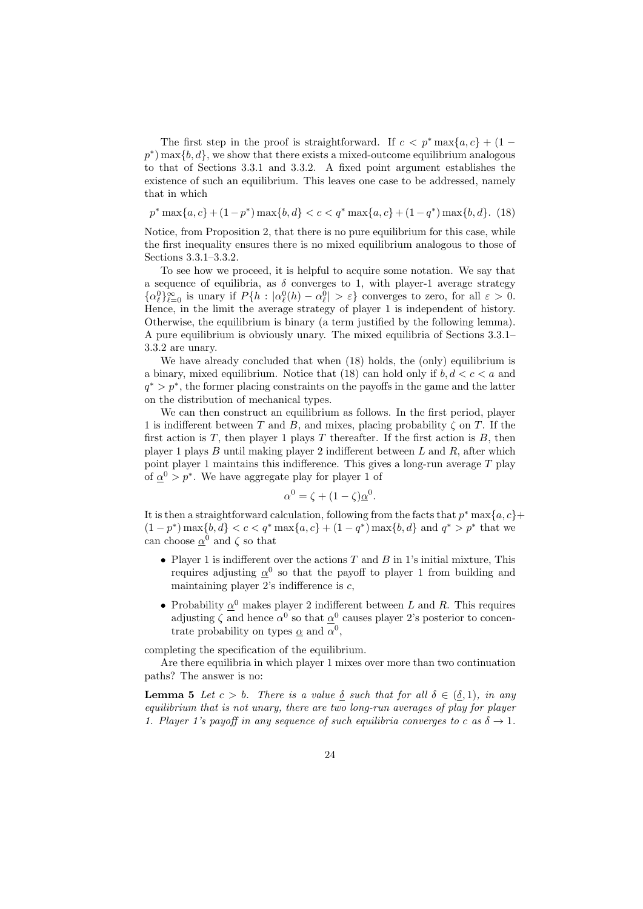The first step in the proof is straightforward. If  $c < p^*$  max $\{a, c\} + (1$  $p^*$ ) max $\{b, d\}$ , we show that there exists a mixed-outcome equilibrium analogous to that of Sections 3.3.1 and 3.3.2. A fixed point argument establishes the existence of such an equilibrium. This leaves one case to be addressed, namely that in which

$$
p^* \max\{a, c\} + (1 - p^*) \max\{b, d\} < c < q^* \max\{a, c\} + (1 - q^*) \max\{b, d\}. \tag{18}
$$

Notice, from Proposition 2, that there is no pure equilibrium for this case, while the first inequality ensures there is no mixed equilibrium analogous to those of Sections 3.3.1–3.3.2.

To see how we proceed, it is helpful to acquire some notation. We say that a sequence of equilibria, as  $\delta$  converges to 1, with player-1 average strategy  $\{\alpha_\ell^0\}_{\ell=0}^\infty$  is unary if  $P\{h : |\alpha_\ell^0(h) - \alpha_\ell^0| > \varepsilon\}$  converges to zero, for all  $\varepsilon > 0$ . Hence, in the limit the average strategy of player 1 is independent of history. Otherwise, the equilibrium is binary (a term justified by the following lemma). A pure equilibrium is obviously unary. The mixed equilibria of Sections 3.3.1– 3.3.2 are unary.

We have already concluded that when  $(18)$  holds, the (only) equilibrium is a binary, mixed equilibrium. Notice that (18) can hold only if *b, d < c < a* and  $q^*$  >  $p^*$ , the former placing constraints on the payoffs in the game and the latter on the distribution of mechanical types.

We can then construct an equilibrium as follows. In the first period, player 1 is indifferent between *T* and *B*, and mixes, placing probability  $\zeta$  on *T*. If the first action is *T*, then player 1 plays *T* thereafter. If the first action is *B*, then player 1 plays *B* until making player 2 indifferent between *L* and *R*, after which point player 1 maintains this indifference. This gives a long-run average *T* play of  $\underline{\alpha}^0 > p^*$ . We have aggregate play for player 1 of

$$
\alpha^0 = \zeta + (1 - \zeta)\underline{\alpha}^0.
$$

It is then a straightforward calculation, following from the facts that  $p^*$  max $\{a, c\}$ +  $(1-p^*) \max\{b,d\} < c < q^* \max\{a,c\} + (1-q^*) \max\{b,d\}$  and  $q^* > p^*$  that we can choose  $\underline{\alpha}^0$  and  $\zeta$  so that

- *•* Player 1 is indifferent over the actions *T* and *B* in 1's initial mixture, This requires adjusting  $\alpha^0$  so that the payoff to player 1 from building and maintaining player 2's indifference is *c*,
- Probability  $\underline{\alpha}^0$  makes player 2 indifferent between *L* and *R*. This requires adjusting  $\zeta$  and hence  $\alpha^0$  so that  $\alpha^0$  causes player 2's posterior to concentrate probability on types  $\alpha$  and  $\alpha^0$ ,

completing the specification of the equilibrium.

Are there equilibria in which player 1 mixes over more than two continuation paths? The answer is no:

**Lemma 5** *Let*  $c > b$ *. There is a value*  $\delta$  *such that for all*  $\delta \in (\delta, 1)$ *, in any equilibrium that is not unary, there are two long-run averages of play for player 1. Player 1's payoff in any sequence of such equilibria converges to c as*  $\delta \rightarrow 1$ *.*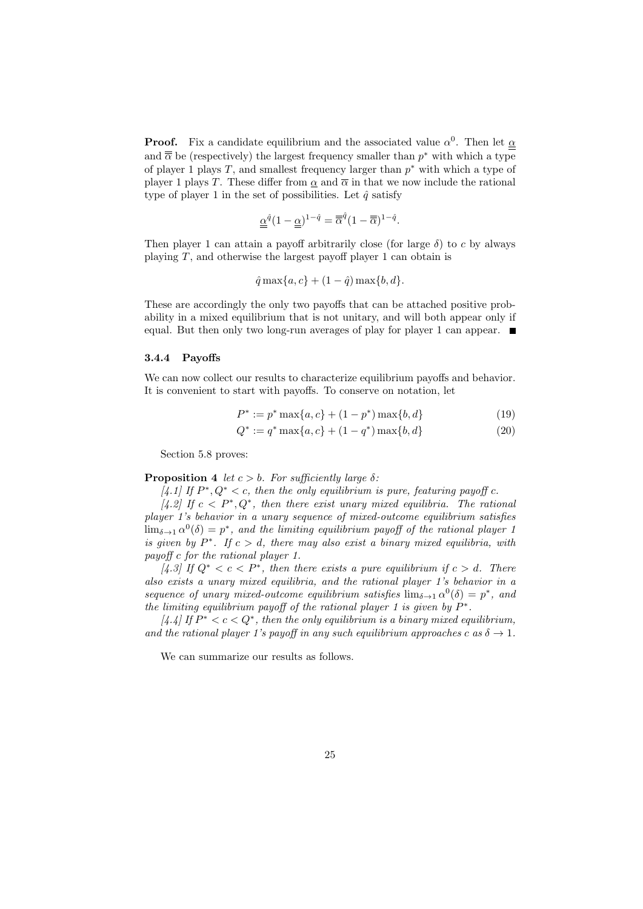**Proof.** Fix a candidate equilibrium and the associated value  $\alpha^0$ . Then let  $\alpha$ and  $\overline{\overline{\alpha}}$  be (respectively) the largest frequency smaller than  $p^*$  with which a type of player 1 plays *T*, and smallest frequency larger than *p <sup>∗</sup>* with which a type of player 1 plays *T*. These differ from  $\alpha$  and  $\overline{\alpha}$  in that we now include the rational type of player 1 in the set of possibilities. Let  $\hat{q}$  satisfy

$$
\underline{\underline{\alpha}}^{\hat{q}}(1-\underline{\underline{\alpha}})^{1-\hat{q}} = \overline{\overline{\alpha}}^{\hat{q}}(1-\overline{\overline{\alpha}})^{1-\hat{q}}.
$$

Then player 1 can attain a payoff arbitrarily close (for large *δ*) to *c* by always playing *T*, and otherwise the largest payoff player 1 can obtain is

$$
\hat{q} \max\{a, c\} + (1 - \hat{q}) \max\{b, d\}.
$$

These are accordingly the only two payoffs that can be attached positive probability in a mixed equilibrium that is not unitary, and will both appear only if equal. But then only two long-run averages of play for player 1 can appear.  $\blacksquare$ 

#### **3.4.4 Payoffs**

We can now collect our results to characterize equilibrium payoffs and behavior. It is convenient to start with payoffs. To conserve on notation, let

$$
P^* := p^* \max\{a, c\} + (1 - p^*) \max\{b, d\}
$$
 (19)

$$
Q^* := q^* \max\{a, c\} + (1 - q^*) \max\{b, d\}
$$
 (20)

Section 5.8 proves:

#### **Proposition 4** *let*  $c > b$ *. For sufficiently large*  $\delta$ *:*

 $[4.1]$  If  $P^*$ ,  $Q^* < c$ , then the only equilibrium is pure, featuring payoff  $c$ .

 $[4.2]$  If  $c < P^*$ ,  $Q^*$ , then there exist unary mixed equilibria. The rational *player 1's behavior in a unary sequence of mixed-outcome equilibrium satisfies*  $\lim_{\delta \to 1} \alpha^0(\delta) = p^*$ , and the limiting equilibrium payoff of the rational player 1 *is given by*  $P^*$ *. If*  $c > d$ *, there may also exist a binary mixed equilibria, with payoff c for the rational player 1.*

 $[4.3]$  If  $Q^* < c < P^*$ , then there exists a pure equilibrium if  $c > d$ . There *also exists a unary mixed equilibria, and the rational player 1's behavior in a sequence of unary mixed-outcome equilibrium satisfies*  $\lim_{\delta \to 1} \alpha^0(\delta) = p^*$ , and *the limiting equilibrium payoff of the rational player 1 is given by*  $P^*$ .

 $[4.4]$  If  $P^* < c < Q^*$ , then the only equilibrium is a binary mixed equilibrium, *and the rational player 1's payoff in any such equilibrium approaches*  $c$  *as*  $\delta \rightarrow 1$ *.* 

We can summarize our results as follows.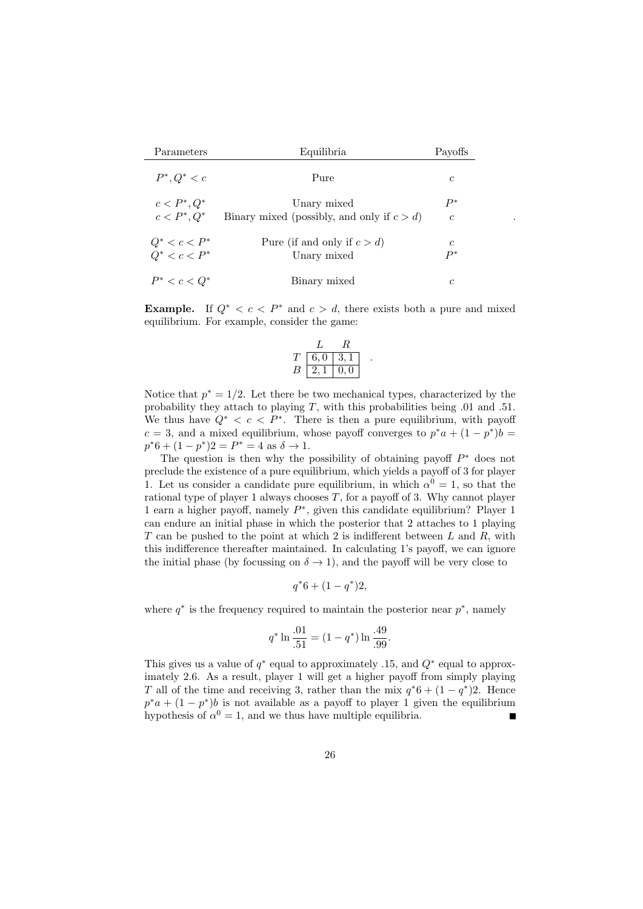| Parameters                                                    | Equilibria                                                   | Payoffs                |
|---------------------------------------------------------------|--------------------------------------------------------------|------------------------|
| $P^*, Q^* < c$                                                | Pure                                                         | $\mathfrak c$          |
| $c < P^*, Q^*$<br>$c < P^*$ , $Q^*$                           | Unary mixed<br>Binary mixed (possibly, and only if $c > d$ ) | $P^*$<br>$\mathfrak c$ |
| $\begin{array}{c} Q^* < c < P^* \\ Q^* < c < P^* \end{array}$ | Pure (if and only if $c > d$ )<br>Unary mixed                | C<br>$P^*$             |
| $P^* < c < Q^*$                                               | Binary mixed                                                 | C                      |

.

**Example.** If  $Q^* < c < P^*$  and  $c > d$ , there exists both a pure and mixed equilibrium. For example, consider the game:

$$
\begin{array}{c|cc}\n & L & R \\
T & 6,0 & 3,1 \\
B & 2,1 & 0,0\n\end{array}
$$

*.*

Notice that  $p^* = 1/2$ . Let there be two mechanical types, characterized by the probability they attach to playing *T*, with this probabilities being *.*01 and *.*51. We thus have  $Q^* < c < P^*$ . There is then a pure equilibrium, with payoff  $c = 3$ , and a mixed equilibrium, whose payoff converges to  $p^*a + (1 - p^*)b =$  $p^*6 + (1 - p^*)2 = P^* = 4$  as  $\delta \to 1$ .

The question is then why the possibility of obtaining payoff *P <sup>∗</sup>* does not preclude the existence of a pure equilibrium, which yields a payoff of 3 for player 1. Let us consider a candidate pure equilibrium, in which  $\alpha^0 = 1$ , so that the rational type of player 1 always chooses *T*, for a payoff of 3. Why cannot player 1 earn a higher payoff, namely *P ∗* , given this candidate equilibrium? Player 1 can endure an initial phase in which the posterior that 2 attaches to 1 playing *T* can be pushed to the point at which 2 is indifferent between *L* and *R*, with this indifference thereafter maintained. In calculating 1's payoff, we can ignore the initial phase (by focussing on  $\delta \rightarrow 1$ ), and the payoff will be very close to

$$
q^*6 + (1 - q^*)2,
$$

where  $q^*$  is the frequency required to maintain the posterior near  $p^*$ , namely

$$
q^* \ln \frac{.01}{.51} = (1 - q^*) \ln \frac{.49}{.99}.
$$

This gives us a value of *q ∗* equal to approximately *.*15, and *Q<sup>∗</sup>* equal to approximately 2.6. As a result, player 1 will get a higher payoff from simply playing *T* all of the time and receiving 3, rather than the mix  $q^*6 + (1 - q^*)2$ . Hence  $p^*a + (1 - p^*)b$  is not available as a payoff to player 1 given the equilibrium hypothesis of  $\alpha^0 = 1$ , and we thus have multiple equilibria.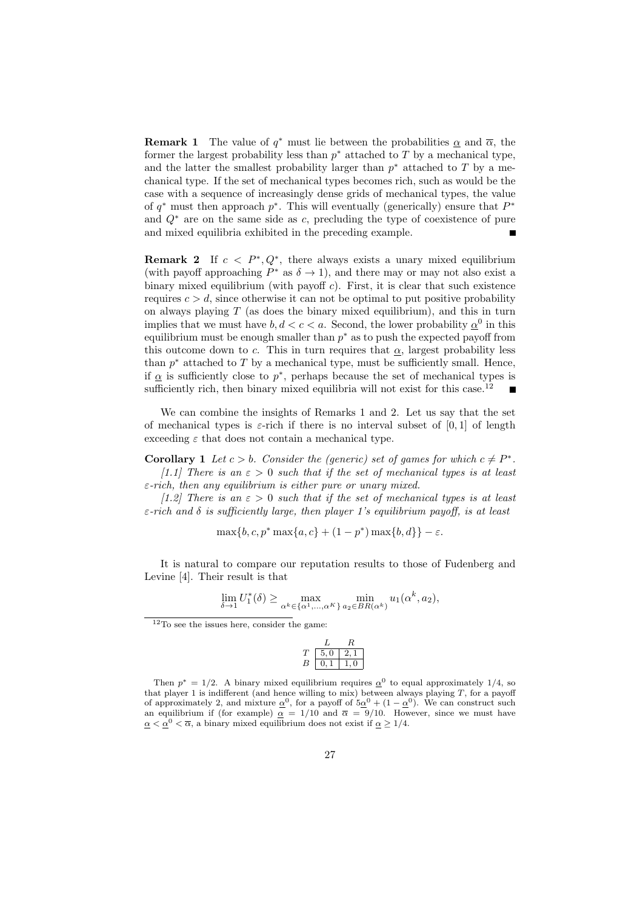**Remark 1** The value of  $q^*$  must lie between the probabilities  $\alpha$  and  $\overline{\alpha}$ , the former the largest probability less than  $p^*$  attached to  $T$  by a mechanical type, and the latter the smallest probability larger than  $p^*$  attached to  $T$  by a mechanical type. If the set of mechanical types becomes rich, such as would be the case with a sequence of increasingly dense grids of mechanical types, the value of  $q^*$  must then approach  $p^*$ . This will eventually (generically) ensure that  $P^*$ and *Q<sup>∗</sup>* are on the same side as *c*, precluding the type of coexistence of pure and mixed equilibria exhibited in the preceding example.

**Remark 2** If  $c < P^*$ ,  $Q^*$ , there always exists a unary mixed equilibrium (with payoff approaching  $P^*$  as  $\delta \to 1$ ), and there may or may not also exist a binary mixed equilibrium (with payoff *c*). First, it is clear that such existence requires  $c > d$ , since otherwise it can not be optimal to put positive probability on always playing *T* (as does the binary mixed equilibrium), and this in turn implies that we must have  $b, d < c < a$ . Second, the lower probability  $\underline{\alpha}^0$  in this equilibrium must be enough smaller than *p <sup>∗</sup>* as to push the expected payoff from this outcome down to *c*. This in turn requires that  $\alpha$ , largest probability less than  $p^*$  attached to  $T$  by a mechanical type, must be sufficiently small. Hence, if  $\alpha$  is sufficiently close to  $p^*$ , perhaps because the set of mechanical types is sufficiently rich, then binary mixed equilibria will not exist for this case.<sup>12</sup>

We can combine the insights of Remarks 1 and 2. Let us say that the set of mechanical types is  $\varepsilon$ -rich if there is no interval subset of  $[0,1]$  of length exceeding  $\varepsilon$  that does not contain a mechanical type.

**Corollary 1** *Let*  $c > b$ *. Consider the (generic) set of games for which*  $c \neq P^*$ *. [1.1] There is an*  $\varepsilon > 0$  *such that if the set of mechanical types is at least ε-rich, then any equilibrium is either pure or unary mixed.*

*[1.2] There is an ε >* 0 *such that if the set of mechanical types is at least ε-rich and δ is sufficiently large, then player 1's equilibrium payoff, is at least*

$$
\max\{b, c, p^* \max\{a, c\} + (1 - p^*) \max\{b, d\}\} - \varepsilon.
$$

It is natural to compare our reputation results to those of Fudenberg and Levine [4]. Their result is that

$$
\lim_{\delta \to 1} U_1^*(\delta) \ge \max_{\alpha^k \in {\{\alpha^1,\ldots,\alpha^K\}}}\min_{a_2 \in BR(\alpha^k)} u_1(\alpha^k,a_2),
$$

$$
\begin{array}{c|cc}\n & L & R \\
T & 5,0 & 2,1 \\
B & 0,1 & 1,0\n\end{array}
$$

 $12$ To see the issues here, consider the game:

Then  $p^* = 1/2$ . A binary mixed equilibrium requires  $\alpha^0$  to equal approximately 1/4, so that player 1 is indifferent (and hence willing to mix) between always playing *T*, for a payoff of approximately 2, and mixture  $\underline{\alpha}^0$ , for a payoff of  $5\underline{\alpha}^0 + (1 - \underline{\alpha}^0)$ . We can construct such an equilibrium if (for example)  $\alpha$  = 1/10 and  $\overline{\alpha}$  = 9/10. However, since we must have  $\alpha < \alpha^0 < \overline{\alpha}$ , a binary mixed equilibrium does not exist if  $\alpha \geq 1/4$ .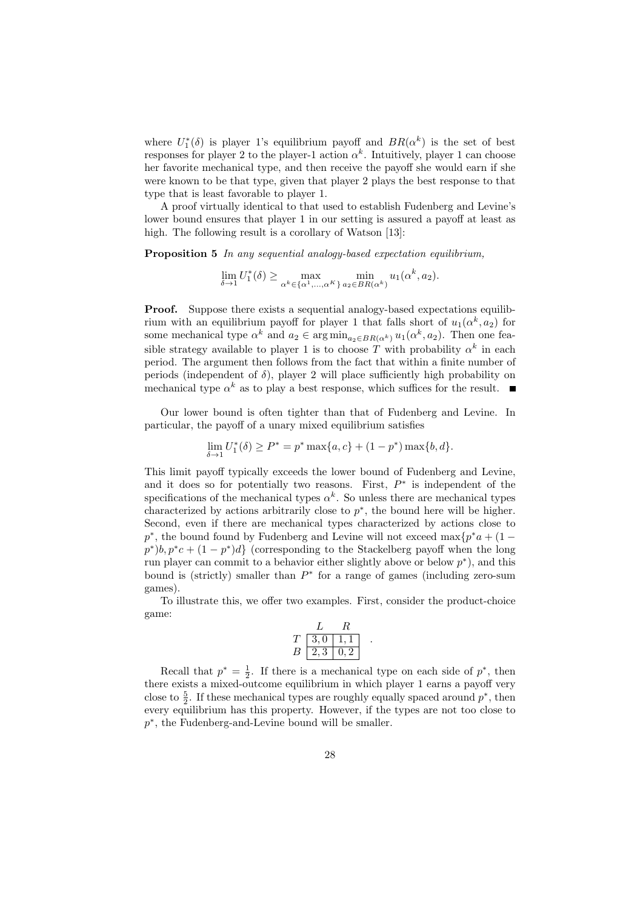where  $U_1^*(\delta)$  is player 1's equilibrium payoff and  $BR(\alpha^k)$  is the set of best responses for player 2 to the player-1 action  $\alpha^k$ . Intuitively, player 1 can choose her favorite mechanical type, and then receive the payoff she would earn if she were known to be that type, given that player 2 plays the best response to that type that is least favorable to player 1.

A proof virtually identical to that used to establish Fudenberg and Levine's lower bound ensures that player 1 in our setting is assured a payoff at least as high. The following result is a corollary of Watson [13]:

**Proposition 5** *In any sequential analogy-based expectation equilibrium,*

$$
\lim_{\delta \to 1} U_1^*(\delta) \ge \max_{\alpha^k \in {\{\alpha^1, \dots, \alpha^K\}}}\min_{a_2 \in BR(\alpha^k)} u_1(\alpha^k, a_2).
$$

**Proof.** Suppose there exists a sequential analogy-based expectations equilibrium with an equilibrium payoff for player 1 that falls short of  $u_1(\alpha^k, a_2)$  for some mechanical type  $\alpha^k$  and  $a_2 \in \arg \min_{a_2 \in BR(\alpha^k)} u_1(\alpha^k, a_2)$ . Then one feasible strategy available to player 1 is to choose *T* with probability  $\alpha^k$  in each period. The argument then follows from the fact that within a finite number of periods (independent of  $\delta$ ), player 2 will place sufficiently high probability on mechanical type  $\alpha^k$  as to play a best response, which suffices for the result.

Our lower bound is often tighter than that of Fudenberg and Levine. In particular, the payoff of a unary mixed equilibrium satisfies

$$
\lim_{\delta \to 1} U_1^*(\delta) \ge P^* = p^* \max\{a, c\} + (1 - p^*) \max\{b, d\}.
$$

This limit payoff typically exceeds the lower bound of Fudenberg and Levine, and it does so for potentially two reasons. First, *P ∗* is independent of the specifications of the mechanical types  $\alpha^k$ . So unless there are mechanical types characterized by actions arbitrarily close to  $p^*$ , the bound here will be higher. Second, even if there are mechanical types characterized by actions close to *p*<sup>\*</sup>, the bound found by Fudenberg and Levine will not exceed max ${p^*a + (1 - p)}$  $p^*$ ) $b, p^*c + (1 - p^*)d$  (corresponding to the Stackelberg payoff when the long run player can commit to a behavior either slightly above or below *p ∗* ), and this bound is (strictly) smaller than  $P^*$  for a range of games (including zero-sum games).

To illustrate this, we offer two examples. First, consider the product-choice game:

$$
\begin{array}{c|cc}\n & L & R \\
T & 3,0 & 1,1 \\
B & 2,3 & 0,2\n\end{array}
$$

*.*

Recall that  $p^* = \frac{1}{2}$ . If there is a mechanical type on each side of  $p^*$ , then there exists a mixed-outcome equilibrium in which player 1 earns a payoff very close to  $\frac{5}{2}$ . If these mechanical types are roughly equally spaced around  $p^*$ , then every equilibrium has this property. However, if the types are not too close to *p*<sup>\*</sup>, the Fudenberg-and-Levine bound will be smaller.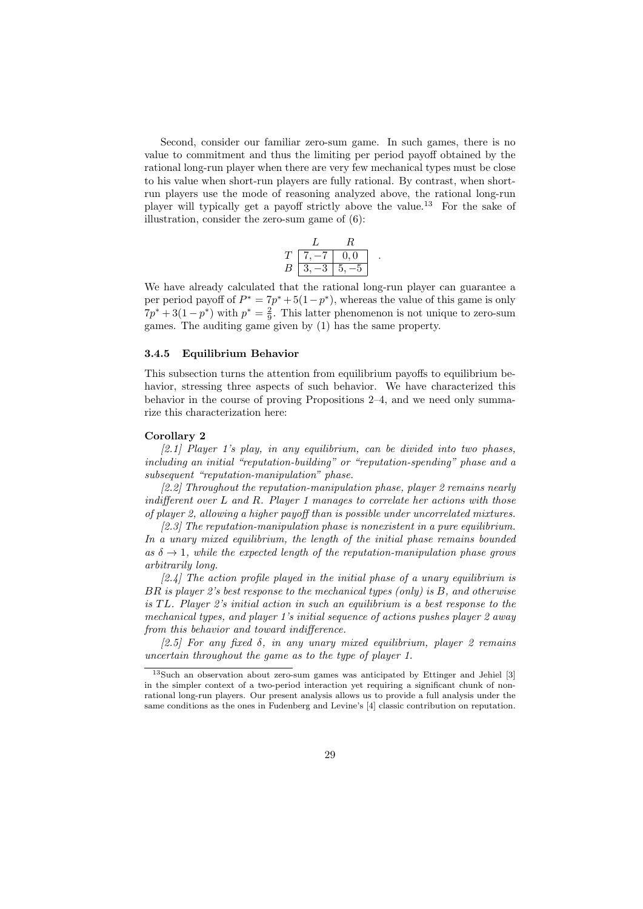Second, consider our familiar zero-sum game. In such games, there is no value to commitment and thus the limiting per period payoff obtained by the rational long-run player when there are very few mechanical types must be close to his value when short-run players are fully rational. By contrast, when shortrun players use the mode of reasoning analyzed above, the rational long-run player will typically get a payoff strictly above the value.<sup>13</sup> For the sake of illustration, consider the zero-sum game of (6):

$$
\begin{array}{cc}\n & L & R \\
T & 7, -7 & 0, 0 \\
B & 3, -3 & 5, -5\n\end{array}
$$

We have already calculated that the rational long-run player can guarantee a per period payoff of  $P^* = 7p^* + 5(1-p^*)$ , whereas the value of this game is only  $7p^* + 3(1 - p^*)$  with  $p^* = \frac{2}{9}$ . This latter phenomenon is not unique to zero-sum games. The auditing game given by (1) has the same property.

#### **3.4.5 Equilibrium Behavior**

This subsection turns the attention from equilibrium payoffs to equilibrium behavior, stressing three aspects of such behavior. We have characterized this behavior in the course of proving Propositions 2–4, and we need only summarize this characterization here:

#### **Corollary 2**

*[2.1] Player 1's play, in any equilibrium, can be divided into two phases, including an initial "reputation-building" or "reputation-spending" phase and a subsequent "reputation-manipulation" phase.*

*[2.2] Throughout the reputation-manipulation phase, player 2 remains nearly indifferent over L and R. Player 1 manages to correlate her actions with those of player 2, allowing a higher payoff than is possible under uncorrelated mixtures.*

*[2.3] The reputation-manipulation phase is nonexistent in a pure equilibrium. In a unary mixed equilibrium, the length of the initial phase remains bounded*  $as \delta \rightarrow 1$ , while the expected length of the reputation-manipulation phase grows *arbitrarily long.*

*[2.4] The action profile played in the initial phase of a unary equilibrium is BR is player 2's best response to the mechanical types (only) is B, and otherwise is T L. Player 2's initial action in such an equilibrium is a best response to the mechanical types, and player 1's initial sequence of actions pushes player 2 away from this behavior and toward indifference.*

*[2.5] For any fixed δ, in any unary mixed equilibrium, player 2 remains uncertain throughout the game as to the type of player 1.*

<sup>13</sup>Such an observation about zero-sum games was anticipated by Ettinger and Jehiel [3] in the simpler context of a two-period interaction yet requiring a significant chunk of nonrational long-run players. Our present analysis allows us to provide a full analysis under the same conditions as the ones in Fudenberg and Levine's [4] classic contribution on reputation.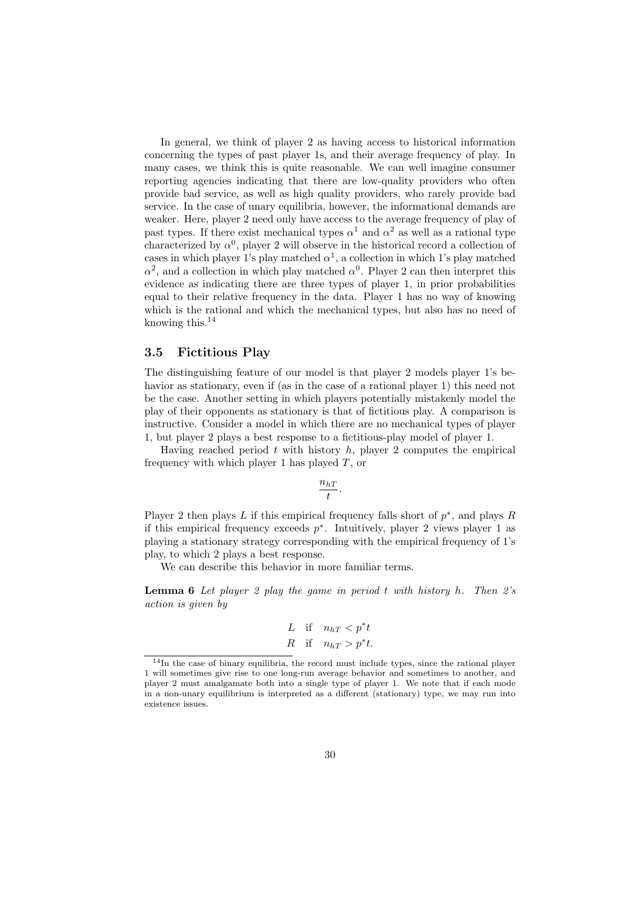In general, we think of player 2 as having access to historical information concerning the types of past player 1s, and their average frequency of play. In many cases, we think this is quite reasonable. We can well imagine consumer reporting agencies indicating that there are low-quality providers who often provide bad service, as well as high quality providers, who rarely provide bad service. In the case of unary equilibria, however, the informational demands are weaker. Here, player 2 need only have access to the average frequency of play of past types. If there exist mechanical types  $\alpha^1$  and  $\alpha^2$  as well as a rational type characterized by  $\alpha^0$ , player 2 will observe in the historical record a collection of cases in which player 1's play matched  $\alpha^1$ , a collection in which 1's play matched  $\alpha^2$ , and a collection in which play matched  $\alpha^0$ . Player 2 can then interpret this evidence as indicating there are three types of player 1, in prior probabilities equal to their relative frequency in the data. Player 1 has no way of knowing which is the rational and which the mechanical types, but also has no need of knowing this.<sup>14</sup>

# **3.5 Fictitious Play**

The distinguishing feature of our model is that player 2 models player 1's behavior as stationary, even if (as in the case of a rational player 1) this need not be the case. Another setting in which players potentially mistakenly model the play of their opponents as stationary is that of fictitious play. A comparison is instructive. Consider a model in which there are no mechanical types of player 1, but player 2 plays a best response to a fictitious-play model of player 1.

Having reached period *t* with history *h*, player 2 computes the empirical frequency with which player 1 has played *T*, or

$$
\frac{n_{hT}}{t}.
$$

Player 2 then plays *L* if this empirical frequency falls short of *p ∗* , and plays *R* if this empirical frequency exceeds *p ∗* . Intuitively, player 2 views player 1 as playing a stationary strategy corresponding with the empirical frequency of 1's play, to which 2 plays a best response.

We can describe this behavior in more familiar terms.

**Lemma 6** *Let player 2 play the game in period t with history h. Then 2's action is given by*

$$
L \quad \text{if} \quad n_{hT} < p^*t
$$
\n
$$
R \quad \text{if} \quad n_{hT} > p^*t.
$$

<sup>14</sup>In the case of binary equilibria, the record must include types, since the rational player 1 will sometimes give rise to one long-run average behavior and sometimes to another, and player 2 must amalgamate both into a single type of player 1. We note that if each mode in a non-unary equilibrium is interpreted as a different (stationary) type, we may run into existence issues.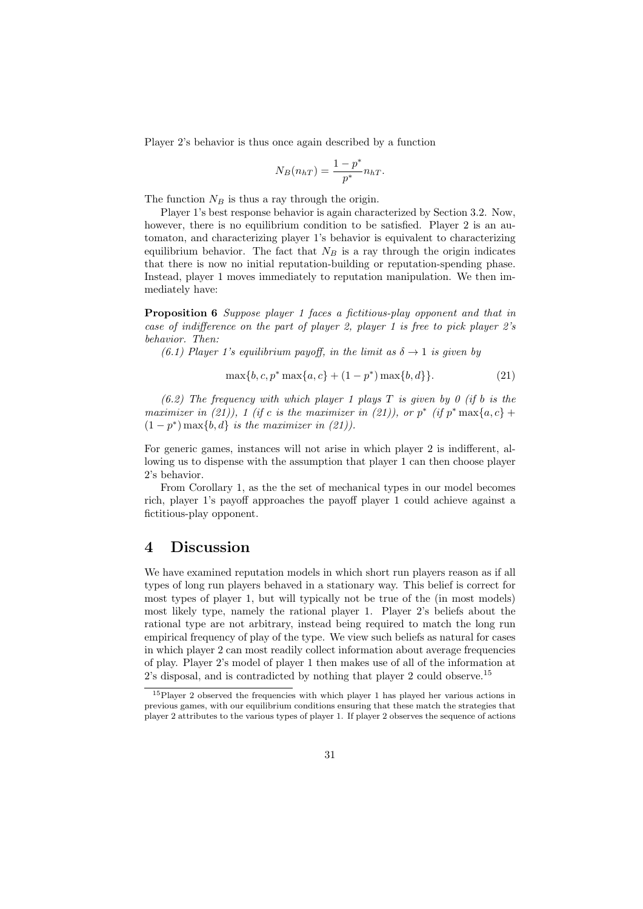Player 2's behavior is thus once again described by a function

$$
N_B(n_{hT}) = \frac{1 - p^*}{p^*} n_{hT}.
$$

The function  $N_B$  is thus a ray through the origin.

Player 1's best response behavior is again characterized by Section 3.2. Now, however, there is no equilibrium condition to be satisfied. Player 2 is an automaton, and characterizing player 1's behavior is equivalent to characterizing equilibrium behavior. The fact that  $N_B$  is a ray through the origin indicates that there is now no initial reputation-building or reputation-spending phase. Instead, player 1 moves immediately to reputation manipulation. We then immediately have:

**Proposition 6** *Suppose player 1 faces a fictitious-play opponent and that in case of indifference on the part of player 2, player 1 is free to pick player 2's behavior. Then:*

*(6.1) Player 1's equilibrium payoff, in the limit as*  $\delta \rightarrow 1$  *is given by* 

$$
\max\{b, c, p^* \max\{a, c\} + (1 - p^*) \max\{b, d\}\}.
$$
 (21)

*(6.2) The frequency with which player 1 plays T is given by 0 (if b is the maximizer in* (21)), 1 (*if c is the maximizer in* (21)), or  $p^*$  (*if*  $p^*$  max{ $a, c$ } +  $(1 - p^*) \max\{b, d\}$  *is the maximizer in (21)).* 

For generic games, instances will not arise in which player 2 is indifferent, allowing us to dispense with the assumption that player 1 can then choose player 2's behavior.

From Corollary 1, as the the set of mechanical types in our model becomes rich, player 1's payoff approaches the payoff player 1 could achieve against a fictitious-play opponent.

# **4 Discussion**

We have examined reputation models in which short run players reason as if all types of long run players behaved in a stationary way. This belief is correct for most types of player 1, but will typically not be true of the (in most models) most likely type, namely the rational player 1. Player 2's beliefs about the rational type are not arbitrary, instead being required to match the long run empirical frequency of play of the type. We view such beliefs as natural for cases in which player 2 can most readily collect information about average frequencies of play. Player 2's model of player 1 then makes use of all of the information at 2's disposal, and is contradicted by nothing that player 2 could observe.<sup>15</sup>

<sup>15</sup>Player 2 observed the frequencies with which player 1 has played her various actions in previous games, with our equilibrium conditions ensuring that these match the strategies that player 2 attributes to the various types of player 1. If player 2 observes the sequence of actions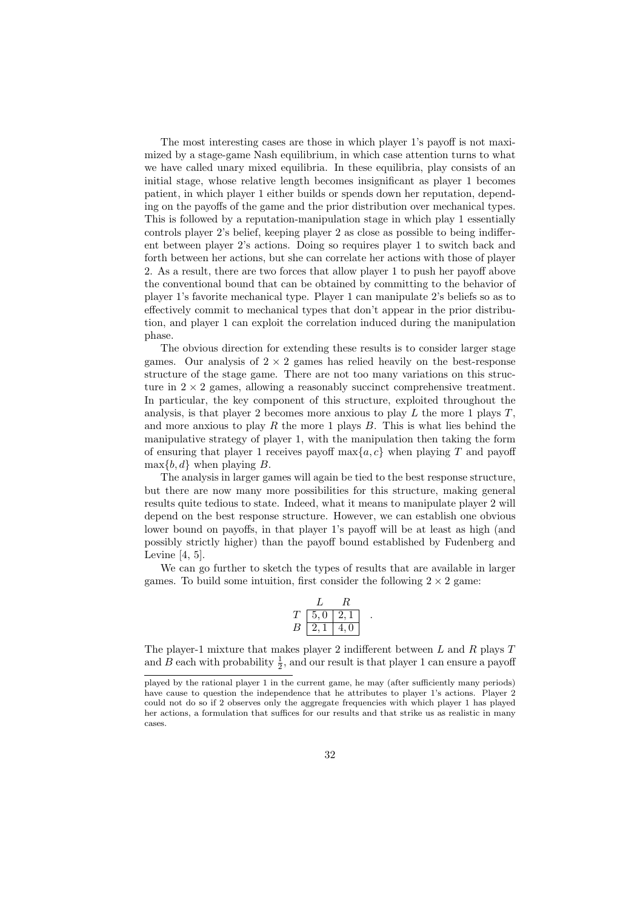The most interesting cases are those in which player 1's payoff is not maximized by a stage-game Nash equilibrium, in which case attention turns to what we have called unary mixed equilibria. In these equilibria, play consists of an initial stage, whose relative length becomes insignificant as player 1 becomes patient, in which player 1 either builds or spends down her reputation, depending on the payoffs of the game and the prior distribution over mechanical types. This is followed by a reputation-manipulation stage in which play 1 essentially controls player 2's belief, keeping player 2 as close as possible to being indifferent between player 2's actions. Doing so requires player 1 to switch back and forth between her actions, but she can correlate her actions with those of player 2. As a result, there are two forces that allow player 1 to push her payoff above the conventional bound that can be obtained by committing to the behavior of player 1's favorite mechanical type. Player 1 can manipulate 2's beliefs so as to effectively commit to mechanical types that don't appear in the prior distribution, and player 1 can exploit the correlation induced during the manipulation phase.

The obvious direction for extending these results is to consider larger stage games. Our analysis of  $2 \times 2$  games has relied heavily on the best-response structure of the stage game. There are not too many variations on this structure in  $2 \times 2$  games, allowing a reasonably succinct comprehensive treatment. In particular, the key component of this structure, exploited throughout the analysis, is that player 2 becomes more anxious to play *L* the more 1 plays *T*, and more anxious to play *R* the more 1 plays *B*. This is what lies behind the manipulative strategy of player 1, with the manipulation then taking the form of ensuring that player 1 receives payoff max*{a, c}* when playing *T* and payoff  $\max\{b, d\}$  when playing *B*.

The analysis in larger games will again be tied to the best response structure, but there are now many more possibilities for this structure, making general results quite tedious to state. Indeed, what it means to manipulate player 2 will depend on the best response structure. However, we can establish one obvious lower bound on payoffs, in that player 1's payoff will be at least as high (and possibly strictly higher) than the payoff bound established by Fudenberg and Levine [4, 5].

We can go further to sketch the types of results that are available in larger games. To build some intuition, first consider the following  $2 \times 2$  game:

| Ί. | 5,0           | ., |  |
|----|---------------|----|--|
| B  | $\mathcal{L}$ | 0  |  |

The player-1 mixture that makes player 2 indifferent between *L* and *R* plays *T* and *B* each with probability  $\frac{1}{2}$ , and our result is that player 1 can ensure a payoff

played by the rational player 1 in the current game, he may (after sufficiently many periods) have cause to question the independence that he attributes to player 1's actions. Player 2 could not do so if 2 observes only the aggregate frequencies with which player 1 has played her actions, a formulation that suffices for our results and that strike us as realistic in many cases.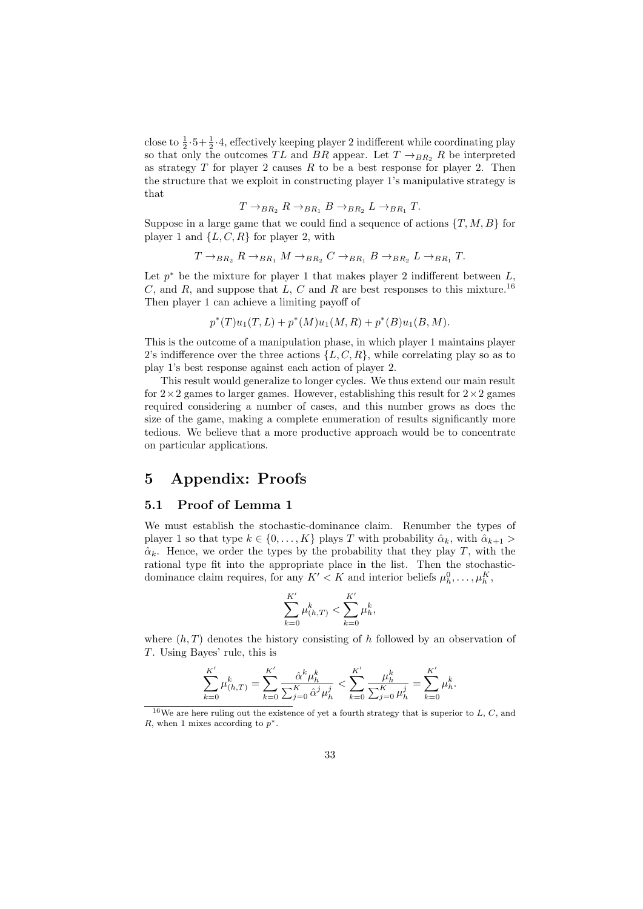close to  $\frac{1}{2} \cdot 5 + \frac{1}{2} \cdot 4$ , effectively keeping player 2 indifferent while coordinating play so that only the outcomes  $TL$  and  $BR$  appear. Let  $T \rightarrow_{BR_2} R$  be interpreted as strategy *T* for player 2 causes *R* to be a best response for player 2. Then the structure that we exploit in constructing player 1's manipulative strategy is that

$$
T \rightarrow_{BR_2} R \rightarrow_{BR_1} B \rightarrow_{BR_2} L \rightarrow_{BR_1} T.
$$

Suppose in a large game that we could find a sequence of actions  $\{T, M, B\}$  for player 1 and  $\{L, C, R\}$  for player 2, with

$$
T \rightarrow_{BR_2} R \rightarrow_{BR_1} M \rightarrow_{BR_2} C \rightarrow_{BR_1} B \rightarrow_{BR_2} L \rightarrow_{BR_1} T.
$$

Let *p <sup>∗</sup>* be the mixture for player 1 that makes player 2 indifferent between *L*, *C*, and *R*, and suppose that *L*, *C* and *R* are best responses to this mixture.<sup>16</sup> Then player 1 can achieve a limiting payoff of

$$
p^*(T)u_1(T,L) + p^*(M)u_1(M,R) + p^*(B)u_1(B,M).
$$

This is the outcome of a manipulation phase, in which player 1 maintains player 2's indifference over the three actions  $\{L, C, R\}$ , while correlating play so as to play 1's best response against each action of player 2.

This result would generalize to longer cycles. We thus extend our main result for  $2\times2$  games to larger games. However, establishing this result for  $2\times2$  games required considering a number of cases, and this number grows as does the size of the game, making a complete enumeration of results significantly more tedious. We believe that a more productive approach would be to concentrate on particular applications.

# **5 Appendix: Proofs**

# **5.1 Proof of Lemma 1**

We must establish the stochastic-dominance claim. Renumber the types of player 1 so that type  $k \in \{0, \ldots, K\}$  plays *T* with probability  $\hat{\alpha}_k$ , with  $\hat{\alpha}_{k+1}$  $\hat{\alpha}_k$ . Hence, we order the types by the probability that they play *T*, with the rational type fit into the appropriate place in the list. Then the stochasticdominance claim requires, for any  $K' < K$  and interior beliefs  $\mu_h^0, \ldots, \mu_h^K$ ,

$$
\sum_{k=0}^{K'} \mu_{(h,T)}^k < \sum_{k=0}^{K'} \mu_h^k
$$

where  $(h, T)$  denotes the history consisting of *h* followed by an observation of *T*. Using Bayes' rule, this is

$$
\sum_{k=0}^{K'} \mu_{(h,T)}^k = \sum_{k=0}^{K'} \frac{\hat{\alpha}^k \mu_h^k}{\sum_{j=0}^K \hat{\alpha}^j \mu_h^j} < \sum_{k=0}^{K'} \frac{\mu_h^k}{\sum_{j=0}^K \mu_h^j} = \sum_{k=0}^{K'} \mu_h^k.
$$

<sup>16</sup>We are here ruling out the existence of yet a fourth strategy that is superior to *L*, *C*, and *R*, when 1 mixes according to *p ∗*.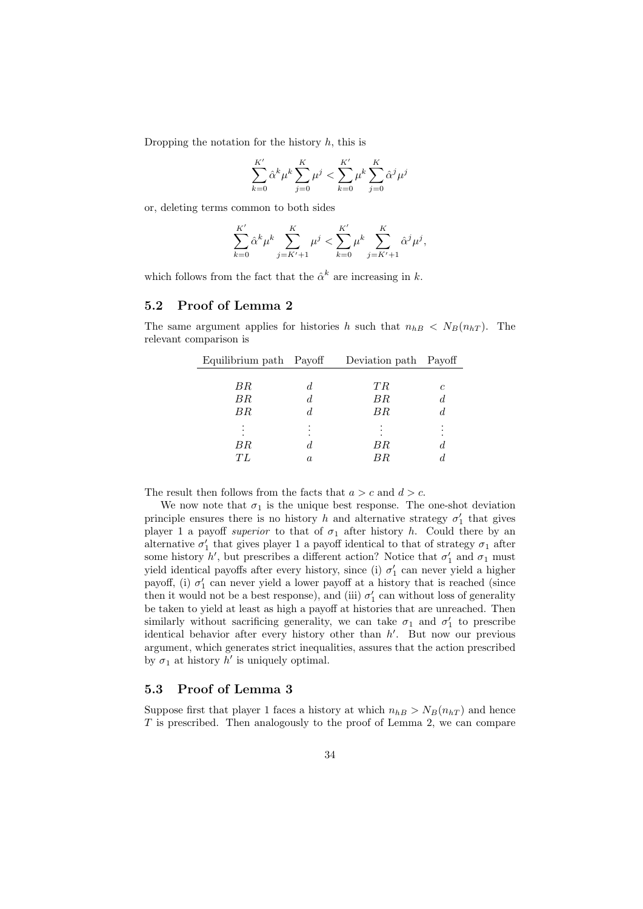Dropping the notation for the history *h*, this is

$$
\sum_{k=0}^{K'} \hat{\alpha}^k \mu^k \sum_{j=0}^{K} \mu^j < \sum_{k=0}^{K'} \mu^k \sum_{j=0}^{K} \hat{\alpha}^j \mu^j
$$

or, deleting terms common to both sides

$$
\sum_{k=0}^{K'} \hat{\alpha}^k \mu^k \sum_{j=K'+1}^{K} \mu^j < \sum_{k=0}^{K'} \mu^k \sum_{j=K'+1}^{K} \hat{\alpha}^j \mu^j,
$$

which follows from the fact that the  $\hat{\alpha}^k$  are increasing in *k*.

#### **5.2 Proof of Lemma 2**

The same argument applies for histories *h* such that  $n_{hB} < N_B(n_{hT})$ . The relevant comparison is

| Equilibrium path Payoff |         | Deviation path Payoff |                  |
|-------------------------|---------|-----------------------|------------------|
|                         |         |                       |                  |
| ΒR                      | d       | TR                    | с                |
| BR                      | d       | ΒR                    | $\boldsymbol{d}$ |
| $_{BR}$                 | d       | ΒR                    | d                |
|                         |         |                       |                  |
| ΒR                      | d       | ΒR                    | d                |
| ŦL                      | $\it a$ | $_{BR}$               | d.               |

The result then follows from the facts that  $a > c$  and  $d > c$ .

We now note that  $\sigma_1$  is the unique best response. The one-shot deviation principle ensures there is no history *h* and alternative strategy  $\sigma'_{1}$  that gives player 1 a payoff *superior* to that of  $\sigma_1$  after history *h*. Could there by an alternative  $\sigma'_{1}$  that gives player 1 a payoff identical to that of strategy  $\sigma_{1}$  after some history  $h'$ , but prescribes a different action? Notice that  $\sigma'_{1}$  and  $\sigma_{1}$  must yield identical payoffs after every history, since (i)  $\sigma'_{1}$  can never yield a higher payoff, (i)  $\sigma'_{1}$  can never yield a lower payoff at a history that is reached (since then it would not be a best response), and (iii)  $\sigma'_{1}$  can without loss of generality be taken to yield at least as high a payoff at histories that are unreached. Then similarly without sacrificing generality, we can take  $\sigma_1$  and  $\sigma'_1$  to prescribe identical behavior after every history other than *h ′* . But now our previous argument, which generates strict inequalities, assures that the action prescribed by  $\sigma_1$  at history  $h'$  is uniquely optimal.

# **5.3 Proof of Lemma 3**

Suppose first that player 1 faces a history at which  $n_{hB} > N_B(n_{hT})$  and hence *T* is prescribed. Then analogously to the proof of Lemma 2, we can compare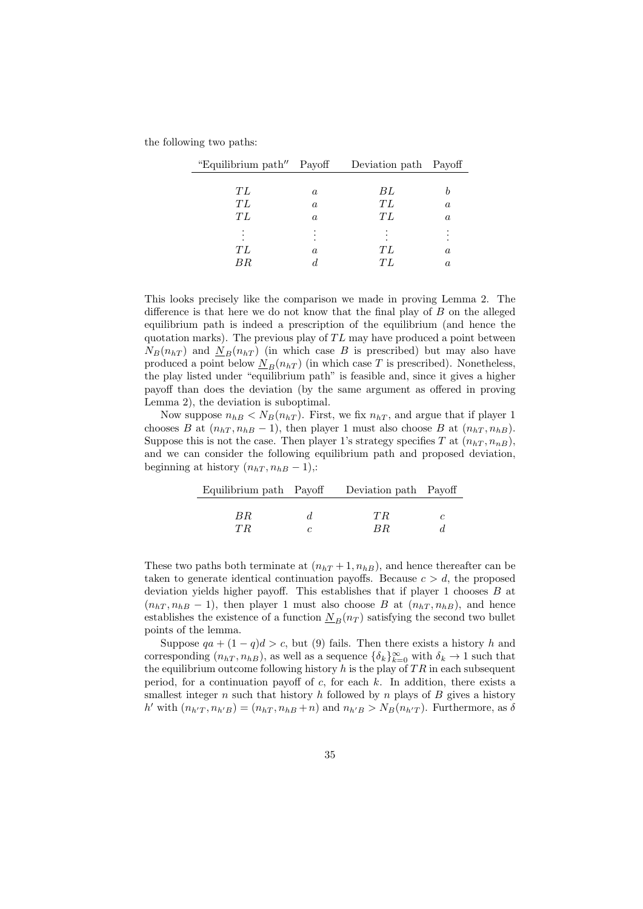the following two paths:

| "Equilibrium path" Payoff |                  | Deviation path Payoff |          |
|---------------------------|------------------|-----------------------|----------|
|                           |                  |                       |          |
| ŦL                        | $\boldsymbol{a}$ | ВL                    |          |
| ŦL                        | $\boldsymbol{a}$ | ТL                    | $\alpha$ |
| ŦL                        | $\boldsymbol{a}$ | ТL                    | $\alpha$ |
|                           |                  |                       |          |
|                           |                  |                       |          |
| ŦL                        | $\it a$          | ТL                    | $\it a$  |
|                           |                  | T L                   | $\it a$  |

This looks precisely like the comparison we made in proving Lemma 2. The difference is that here we do not know that the final play of *B* on the alleged equilibrium path is indeed a prescription of the equilibrium (and hence the quotation marks). The previous play of *T L* may have produced a point between  $N_B(n_{hT})$  and  $N_B(n_{hT})$  (in which case *B* is prescribed) but may also have produced a point below  $N_B(n_hT)$  (in which case *T* is prescribed). Nonetheless, the play listed under "equilibrium path" is feasible and, since it gives a higher payoff than does the deviation (by the same argument as offered in proving Lemma 2), the deviation is suboptimal.

Now suppose  $n_{hB} < N_B(n_{hT})$ . First, we fix  $n_{hT}$ , and argue that if player 1 chooses *B* at  $(n_{hT}, n_{hB} - 1)$ , then player 1 must also choose *B* at  $(n_{hT}, n_{hB})$ . Suppose this is not the case. Then player 1's strategy specifies  $T$  at  $(n_{hT}, n_{nB})$ , and we can consider the following equilibrium path and proposed deviation, beginning at history  $(n<sub>hT</sub>, n<sub>hB</sub> - 1)$ ,:

|     | Equilibrium path Payoff Deviation path Payoff |    |
|-----|-----------------------------------------------|----|
|     |                                               |    |
| BR. | TR.                                           | C. |
| T R | BR.                                           |    |

These two paths both terminate at  $(n<sub>hT</sub> + 1, n<sub>hB</sub>)$ , and hence thereafter can be taken to generate identical continuation payoffs. Because  $c > d$ , the proposed deviation yields higher payoff. This establishes that if player 1 chooses *B* at  $(n<sub>hT</sub>, n<sub>hB</sub> - 1)$ , then player 1 must also choose *B* at  $(n<sub>hT</sub>, n<sub>hB</sub>)$ , and hence establishes the existence of a function  $N_B(n_T)$  satisfying the second two bullet points of the lemma.

Suppose  $qa + (1 - q)d > c$ , but (9) fails. Then there exists a history *h* and corresponding  $(n_{hT}, n_{hB})$ , as well as a sequence  $\{\delta_k\}_{k=0}^{\infty}$  with  $\delta_k \to 1$  such that the equilibrium outcome following history *h* is the play of *T R* in each subsequent period, for a continuation payoff of *c*, for each *k*. In addition, there exists a smallest integer *n* such that history *h* followed by *n* plays of *B* gives a history h' with  $(n_{h'T}, n_{h'B}) = (n_{hT}, n_{hB} + n)$  and  $n_{h'B} > N_B(n_{h'T})$ . Furthermore, as  $\delta$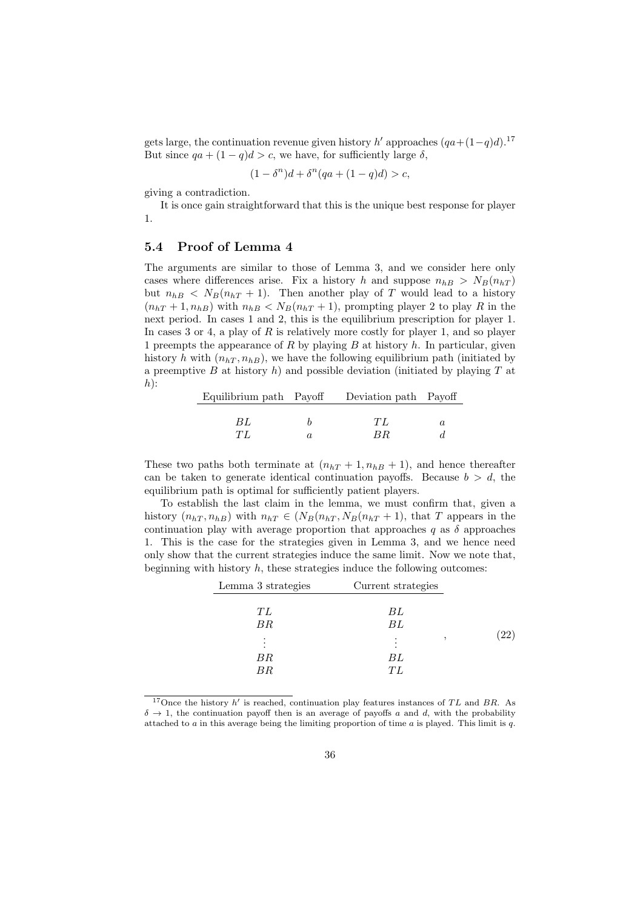gets large, the continuation revenue given history *h'* approaches  $(qa+(1-q)d)^{17}$ But since  $qa + (1 - q)d > c$ , we have, for sufficiently large  $\delta$ ,

$$
(1 - \delta^n)d + \delta^n(qa + (1 - q)d) > c,
$$

giving a contradiction.

 $\overline{a}$ 

It is once gain straightforward that this is the unique best response for player 1.

# **5.4 Proof of Lemma 4**

The arguments are similar to those of Lemma 3, and we consider here only cases where differences arise. Fix a history *h* and suppose  $n_{hB} > N_B(n_{hT})$ but  $n_{hB} < N_B(n_{hT} + 1)$ . Then another play of *T* would lead to a history  $(n_{hT} + 1, n_{hB})$  with  $n_{hB} < N_B(n_{hT} + 1)$ , prompting player 2 to play *R* in the next period. In cases 1 and 2, this is the equilibrium prescription for player 1. In cases 3 or 4, a play of *R* is relatively more costly for player 1, and so player 1 preempts the appearance of *R* by playing *B* at history *h*. In particular, given history *h* with  $(n<sub>hT</sub>, n<sub>hB</sub>)$ , we have the following equilibrium path (initiated by a preemptive *B* at history *h*) and possible deviation (initiated by playing *T* at *h*):

|     | Equilibrium path Payoff Deviation path Payoff |   |
|-----|-----------------------------------------------|---|
|     |                                               |   |
| BL  | ŦЬ                                            | a |
| TL. | BR.                                           |   |

These two paths both terminate at  $(n<sub>hT</sub> + 1, n<sub>hB</sub> + 1)$ , and hence thereafter can be taken to generate identical continuation payoffs. Because  $b > d$ , the equilibrium path is optimal for sufficiently patient players.

To establish the last claim in the lemma, we must confirm that, given a history  $(n_{hT}, n_{hB})$  with  $n_{hT} \in (N_B(n_{hT}, N_B(n_{hT} + 1)),$  that *T* appears in the continuation play with average proportion that approaches  $q$  as  $\delta$  approaches 1. This is the case for the strategies given in Lemma 3, and we hence need only show that the current strategies induce the same limit. Now we note that, beginning with history *h*, these strategies induce the following outcomes:

| Lemma 3 strategies | Current strategies |                    |
|--------------------|--------------------|--------------------|
| ТL<br>BR           | ВL<br>BL           |                    |
| ΒR<br>ΒR           | ВL<br>ŦL           | $\left( 22\right)$ |

<sup>&</sup>lt;sup>17</sup>Once the history *h'* is reached, continuation play features instances of *TL* and *BR*. As  $\delta \rightarrow 1$ , the continuation payoff then is an average of payoffs *a* and *d*, with the probability attached to *a* in this average being the limiting proportion of time *a* is played. This limit is *q*.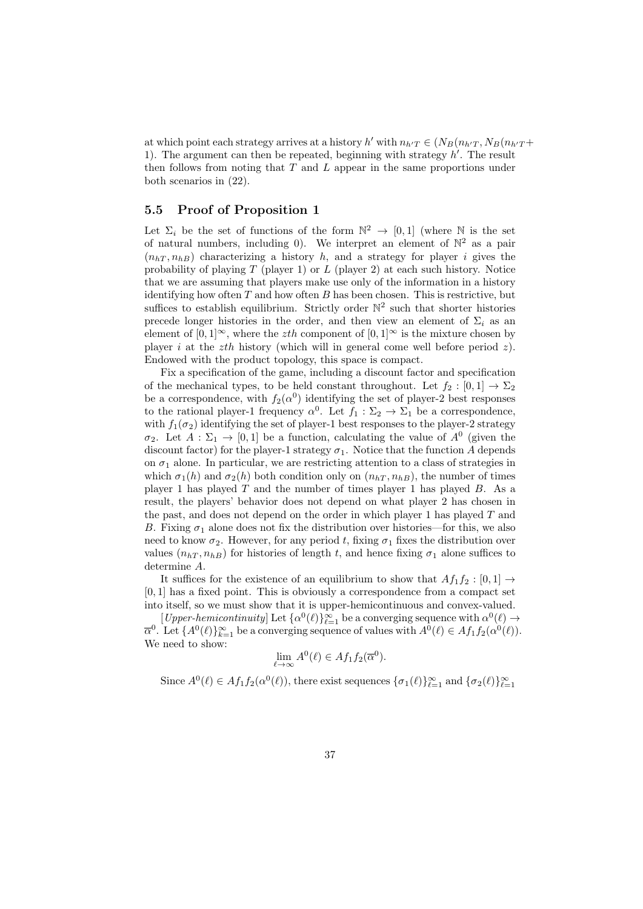at which point each strategy arrives at a history  $h'$  with  $n_{h'T} \in (N_B(n_{h'T}, N_B(n_{h'T} +$ 1). The argument can then be repeated, beginning with strategy *h ′* . The result then follows from noting that *T* and *L* appear in the same proportions under both scenarios in (22).

## **5.5 Proof of Proposition 1**

Let  $\Sigma_i$  be the set of functions of the form  $\mathbb{N}^2 \to [0,1]$  (where  $\mathbb N$  is the set of natural numbers, including 0). We interpret an element of  $\mathbb{N}^2$  as a pair  $(n<sub>hT</sub>, n<sub>hB</sub>)$  characterizing a history *h*, and a strategy for player *i* gives the probability of playing *T* (player 1) or *L* (player 2) at each such history. Notice that we are assuming that players make use only of the information in a history identifying how often *T* and how often *B* has been chosen. This is restrictive, but suffices to establish equilibrium. Strictly order  $\mathbb{N}^2$  such that shorter histories precede longer histories in the order, and then view an element of  $\Sigma_i$  as an element of  $[0,1]^\infty$ , where the *zth* component of  $[0,1]^\infty$  is the mixture chosen by player *i* at the *zth* history (which will in general come well before period *z*). Endowed with the product topology, this space is compact.

Fix a specification of the game, including a discount factor and specification of the mechanical types, to be held constant throughout. Let  $f_2 : [0,1] \rightarrow \Sigma_2$ be a correspondence, with  $f_2(\alpha^0)$  identifying the set of player-2 best responses to the rational player-1 frequency  $\alpha^0$ . Let  $f_1 : \Sigma_2 \to \Sigma_1$  be a correspondence, with  $f_1(\sigma_2)$  identifying the set of player-1 best responses to the player-2 strategy *σ*<sub>2</sub>. Let  $A: \Sigma_1 \to [0,1]$  be a function, calculating the value of  $A^0$  (given the discount factor) for the player-1 strategy  $\sigma_1$ . Notice that the function *A* depends on  $\sigma_1$  alone. In particular, we are restricting attention to a class of strategies in which  $\sigma_1(h)$  and  $\sigma_2(h)$  both condition only on  $(n_{hT}, n_{hB})$ , the number of times player 1 has played *T* and the number of times player 1 has played *B*. As a result, the players' behavior does not depend on what player 2 has chosen in the past, and does not depend on the order in which player 1 has played *T* and *B*. Fixing  $\sigma_1$  alone does not fix the distribution over histories—for this, we also need to know  $\sigma_2$ . However, for any period *t*, fixing  $\sigma_1$  fixes the distribution over values  $(n<sub>hT</sub>, n<sub>hB</sub>)$  for histories of length *t*, and hence fixing  $\sigma_1$  alone suffices to determine *A*.

It suffices for the existence of an equilibrium to show that  $Af_1f_2 : [0,1] \rightarrow$ [0*,* 1] has a fixed point. This is obviously a correspondence from a compact set into itself, so we must show that it is upper-hemicontinuous and convex-valued.

 $[Upper-hemicontinuity]$  Let  $\{\alpha^0(\ell)\}_{\ell=1}^{\infty}$  be a converging sequence with  $\alpha^0(\ell) \to$  $\overline{\alpha}^0$ . Let  $\{A^0(\ell)\}_{k=1}^{\infty}$  be a converging sequence of values with  $A^0(\ell) \in Af_1f_2(\alpha^0(\ell))$ . We need to show:

$$
\lim_{\ell \to \infty} A^0(\ell) \in Af_1 f_2(\overline{\alpha}^0).
$$

Since  $A^0(\ell) \in Af_1f_2(\alpha^0(\ell))$ , there exist sequences  $\{\sigma_1(\ell)\}_{\ell=1}^{\infty}$  and  $\{\sigma_2(\ell)\}_{\ell=1}^{\infty}$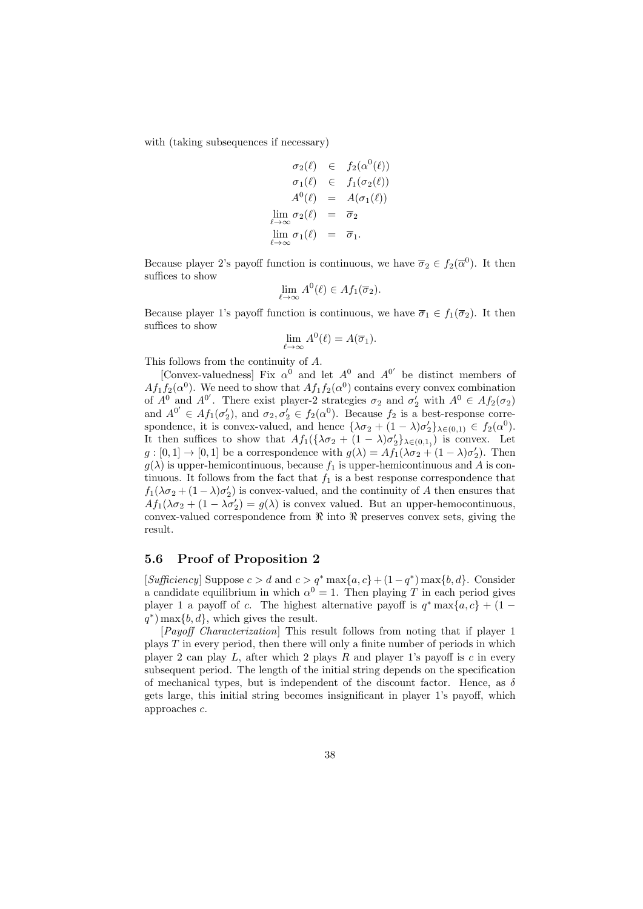with (taking subsequences if necessary)

$$
\begin{array}{rcl}\n\sigma_2(\ell) & \in & f_2(\alpha^0(\ell)) \\
\sigma_1(\ell) & \in & f_1(\sigma_2(\ell)) \\
A^0(\ell) & = & A(\sigma_1(\ell)) \\
\lim_{\ell \to \infty} \sigma_2(\ell) & = & \overline{\sigma}_2 \\
\lim_{\ell \to \infty} \sigma_1(\ell) & = & \overline{\sigma}_1.\n\end{array}
$$

Because player 2's payoff function is continuous, we have  $\overline{\sigma}_2 \in f_2(\overline{\alpha}^0)$ . It then suffices to show

$$
\lim_{\ell \to \infty} A^0(\ell) \in Af_1(\overline{\sigma}_2).
$$

Because player 1's payoff function is continuous, we have  $\overline{\sigma}_1 \in f_1(\overline{\sigma}_2)$ . It then suffices to show

$$
\lim_{\ell \to \infty} A^0(\ell) = A(\overline{\sigma}_1).
$$

This follows from the continuity of *A*.

[Convex-valuedness] Fix  $\alpha^0$  and let  $A^0$  and  $A^{0'}$  be distinct members of  $Af_1f_2(\alpha^0)$ . We need to show that  $Af_1f_2(\alpha^0)$  contains every convex combination of  $A^0$  and  $A^{0'}$ . There exist player-2 strategies  $\sigma_2$  and  $\sigma'_2$  with  $A^0 \in Af_2(\sigma_2)$ and  $A^{0'} \in Af_1(\sigma'_2)$ , and  $\sigma_2, \sigma'_2 \in f_2(\alpha^0)$ . Because  $f_2$  is a best-response correspondence, it is convex-valued, and hence  $\{\lambda \sigma_2 + (1 - \lambda)\sigma'_2\}_{\lambda \in (0,1)} \in f_2(\alpha^0)$ . It then suffices to show that  $Af_1(\{\lambda \sigma_2 + (1 - \lambda)\sigma'_2\}_{\lambda \in (0,1)})$  is convex. Let  $g:[0,1] \to [0,1]$  be a correspondence with  $g(\lambda) = Af_1(\lambda \sigma_2 + (1-\lambda)\sigma_2')$ . Then  $g(\lambda)$  is upper-hemicontinuous, because  $f_1$  is upper-hemicontinuous and A is continuous. It follows from the fact that  $f_1$  is a best response correspondence that  $f_1(\lambda \sigma_2 + (1 - \lambda)\sigma'_2)$  is convex-valued, and the continuity of *A* then ensures that  $Af_1(\lambda \sigma_2 + (1 - \lambda \sigma'_2) = g(\lambda)$  is convex valued. But an upper-hemocontinuous, convex-valued correspondence from *ℜ* into *ℜ* preserves convex sets, giving the result.

#### **5.6 Proof of Proposition 2**

 $[Sufficientcy]$  Suppose  $c > d$  and  $c > q^*$  max $\{a, c\} + (1 - q^*)$  max $\{b, d\}$ . Consider a candidate equilibrium in which  $\alpha^0 = 1$ . Then playing T in each period gives player 1 a payoff of *c*. The highest alternative payoff is  $q^* \max\{a, c\} + (1$ *q ∗* ) max*{b, d}*, which gives the result.

[*Payoff Characterization*] This result follows from noting that if player 1 plays *T* in every period, then there will only a finite number of periods in which player 2 can play *L*, after which 2 plays *R* and player 1's payoff is *c* in every subsequent period. The length of the initial string depends on the specification of mechanical types, but is independent of the discount factor. Hence, as *δ* gets large, this initial string becomes insignificant in player 1's payoff, which approaches *c*.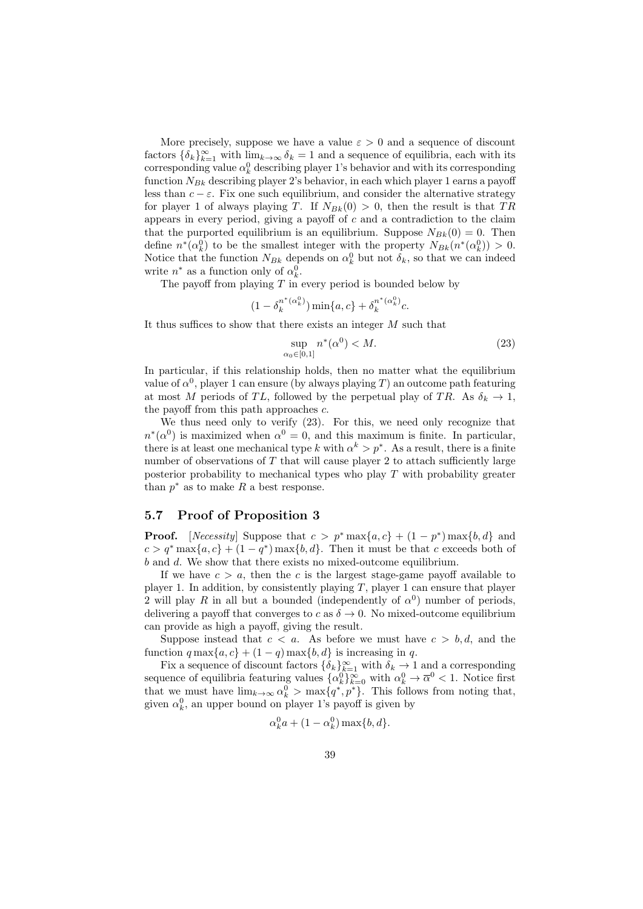More precisely, suppose we have a value  $\varepsilon > 0$  and a sequence of discount factors  $\{\delta_k\}_{k=1}^{\infty}$  with  $\lim_{k\to\infty} \delta_k = 1$  and a sequence of equilibria, each with its corresponding value  $\alpha_k^0$  describing player 1's behavior and with its corresponding function  $N_{Bk}$  describing player 2's behavior, in each which player 1 earns a payoff less than  $c - \varepsilon$ . Fix one such equilibrium, and consider the alternative strategy for player 1 of always playing *T*. If  $N_{Bk}(0) > 0$ , then the result is that *TR* appears in every period, giving a payoff of *c* and a contradiction to the claim that the purported equilibrium is an equilibrium. Suppose  $N_{Bk}(0) = 0$ . Then define  $n^*(\alpha_k^0)$  to be the smallest integer with the property  $N_{Bk}(n^*(\alpha_k^0)) > 0$ . Notice that the function  $N_{Bk}$  depends on  $\alpha_k^0$  but not  $\delta_k$ , so that we can indeed write  $n^*$  as a function only of  $\alpha_k^0$ .

The payoff from playing *T* in every period is bounded below by

$$
(1 - \delta_k^{n^*(\alpha_k^0)}) \min\{a, c\} + \delta_k^{n^*(\alpha_k^0)}c.
$$

It thus suffices to show that there exists an integer *M* such that

$$
\sup_{\alpha_0 \in [0,1]} n^*(\alpha^0) < M. \tag{23}
$$

In particular, if this relationship holds, then no matter what the equilibrium value of  $\alpha^0$ , player 1 can ensure (by always playing *T*) an outcome path featuring at most *M* periods of *TL*, followed by the perpetual play of *TR*. As  $\delta_k \to 1$ , the payoff from this path approaches *c*.

We thus need only to verify (23). For this, we need only recognize that  $n^*(\alpha^0)$  is maximized when  $\alpha^0 = 0$ , and this maximum is finite. In particular, there is at least one mechanical type *k* with  $\alpha^k > p^*$ . As a result, there is a finite number of observations of *T* that will cause player 2 to attach sufficiently large posterior probability to mechanical types who play *T* with probability greater than  $p^*$  as to make  $R$  a best response.

# **5.7 Proof of Proposition 3**

**Proof.** [*Necessity*] Suppose that  $c > p^* \max\{a, c\} + (1 - p^*) \max\{b, d\}$  and  $c > q^*$  max $\{a, c\} + (1 - q^*)$  max $\{b, d\}$ . Then it must be that *c* exceeds both of *b* and *d*. We show that there exists no mixed-outcome equilibrium.

If we have  $c > a$ , then the *c* is the largest stage-game payoff available to player 1. In addition, by consistently playing  $T$ , player 1 can ensure that player 2 will play R in all but a bounded (independently of  $\alpha^0$ ) number of periods, delivering a payoff that converges to *c* as  $\delta \rightarrow 0$ . No mixed-outcome equilibrium can provide as high a payoff, giving the result.

Suppose instead that  $c < a$ . As before we must have  $c > b, d$ , and the function  $q \max\{a, c\} + (1 - q) \max\{b, d\}$  is increasing in *q*.

Fix a sequence of discount factors  $\{\delta_k\}_{k=1}^{\infty}$  with  $\delta_k \to 1$  and a corresponding sequence of equilibria featuring values  $\{\alpha_k^0\}_{k=0}^\infty$  with  $\alpha_k^0 \to \overline{\alpha}^0 < 1$ . Notice first that we must have  $\lim_{k\to\infty} \alpha_k^0 > \max\{q^*, p^*\}.$  This follows from noting that, given  $\alpha_k^0$ , an upper bound on player 1's payoff is given by

$$
\alpha_k^0 a + (1 - \alpha_k^0) \max\{b, d\}.
$$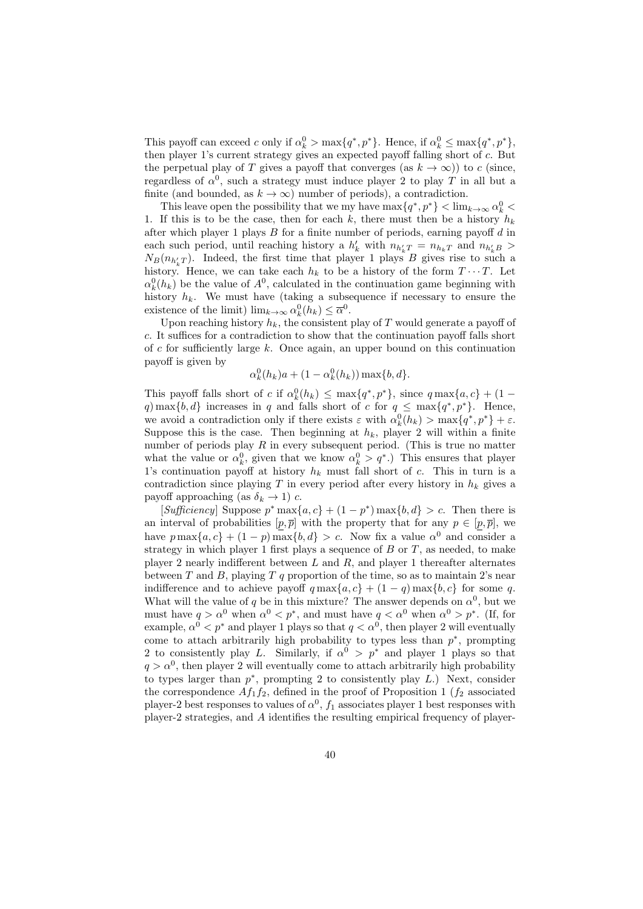This payoff can exceed *c* only if  $\alpha_k^0 > \max\{q^*, p^*\}$ . Hence, if  $\alpha_k^0 \leq \max\{q^*, p^*\}$ , then player 1's current strategy gives an expected payoff falling short of *c*. But the perpetual play of *T* gives a payoff that converges (as  $k \to \infty$ )) to *c* (since, regardless of  $\alpha^0$ , such a strategy must induce player 2 to play *T* in all but a finite (and bounded, as  $k \to \infty$ ) number of periods), a contradiction.

This leave open the possibility that we my have  $\max\{q^*, p^*\} < \lim_{k \to \infty} \alpha_k^0 <$ 1. If this is to be the case, then for each  $k$ , there must then be a history  $h_k$ after which player 1 plays *B* for a finite number of periods, earning payoff *d* in each such period, until reaching history a  $h'_{k}$  with  $n_{h'_{k}T} = n_{h_{k}T}$  and  $n_{h'_{k}B}$  $N_B(n_{h'_kT})$ . Indeed, the first time that player 1 plays *B* gives rise to such a history. Hence, we can take each  $h_k$  to be a history of the form  $T \cdots T$ . Let  $\alpha_k^0(h_k)$  be the value of  $A^0$ , calculated in the continuation game beginning with history  $h_k$ . We must have (taking a subsequence if necessary to ensure the existence of the limit)  $\lim_{k \to \infty} \alpha_k^0(h_k) \leq \overline{\alpha}^0$ .

Upon reaching history  $h_k$ , the consistent play of  $T$  would generate a payoff of *c*. It suffices for a contradiction to show that the continuation payoff falls short of *c* for sufficiently large *k*. Once again, an upper bound on this continuation payoff is given by

$$
\alpha_k^0(h_k)a + (1 - \alpha_k^0(h_k)) \max\{b, d\}.
$$

This payoff falls short of *c* if  $\alpha_k^0(h_k) \le \max\{q^*, p^*\}$ , since  $q \max\{a, c\} + (1$ *q*) max $\{b, d\}$  increases in *q* and falls short of *c* for  $q \leq \max\{q^*, p^*\}$ . Hence, we avoid a contradiction only if there exists  $\varepsilon$  with  $\alpha_k^0(h_k) > \max\{q^*, p^*\} + \varepsilon$ . Suppose this is the case. Then beginning at  $h_k$ , player 2 will within a finite number of periods play *R* in every subsequent period. (This is true no matter what the value or  $\alpha_k^0$ , given that we know  $\alpha_k^0 > q^*$ .) This ensures that player 1's continuation payoff at history  $h_k$  must fall short of *c*. This in turn is a contradiction since playing  $T$  in every period after every history in  $h_k$  gives a payoff approaching (as  $\delta_k \rightarrow 1$ ) *c*.

 $[Sufficientcy]$  Suppose  $p^*$  max $\{a, c\}$  +  $(1 - p^*)$  max $\{b, d\}$  > c. Then there is an interval of probabilities  $[p, \overline{p}]$  with the property that for any  $p \in [p, \overline{p}]$ , we have  $p \max\{a, c\} + (1 - p) \max\{b, d\} > c$ . Now fix a value  $\alpha^0$  and consider a strategy in which player 1 first plays a sequence of *B* or *T*, as needed, to make player 2 nearly indifferent between *L* and *R*, and player 1 thereafter alternates between *T* and *B*, playing *T q* proportion of the time, so as to maintain 2's near indifference and to achieve payoff  $q \max\{a, c\} + (1 - q) \max\{b, c\}$  for some *q*. What will the value of *q* be in this mixture? The answer depends on  $\alpha^0$ , but we must have  $q > \alpha^0$  when  $\alpha^0 < p^*$ , and must have  $q < \alpha^0$  when  $\alpha^0 > p^*$ . (If, for example,  $\alpha^0 < p^*$  and player 1 plays so that  $q < \alpha^0$ , then player 2 will eventually come to attach arbitrarily high probability to types less than *p ∗* , prompting 2 to consistently play *L*. Similarly, if  $\alpha^0 > p^*$  and player 1 plays so that  $q > \alpha^0$ , then player 2 will eventually come to attach arbitrarily high probability to types larger than  $p^*$ , prompting 2 to consistently play *L*.) Next, consider the correspondence  $Af_1f_2$ , defined in the proof of Proposition 1 ( $f_2$  associated player-2 best responses to values of  $\alpha^0$ ,  $f_1$  associates player 1 best responses with player-2 strategies, and *A* identifies the resulting empirical frequency of player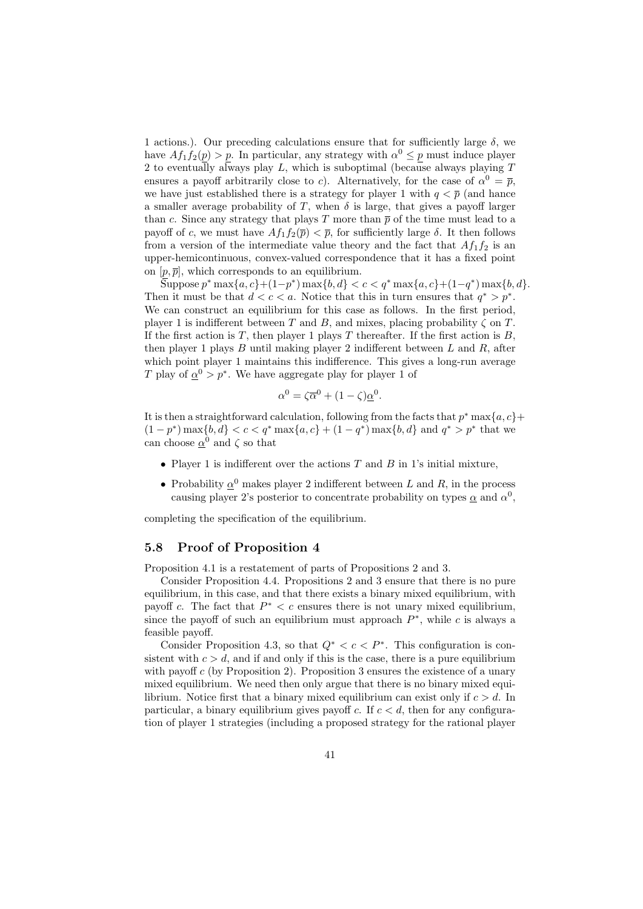1 actions.). Our preceding calculations ensure that for sufficiently large  $\delta$ , we have  $Af_1f_2(p) > p$ . In particular, any strategy with  $\alpha^0 \leq p$  must induce player 2 to eventually always play *L*, which is suboptimal (because always playing *T* ensures a payoff arbitrarily close to *c*). Alternatively, for the case of  $\alpha^0 = \overline{p}$ , we have just established there is a strategy for player 1 with  $q < \bar{p}$  (and hance a smaller average probability of  $T$ , when  $\delta$  is large, that gives a payoff larger than *c*. Since any strategy that plays *T* more than  $\bar{p}$  of the time must lead to a payoff of *c*, we must have  $Af_1f_2(\overline{p}) < \overline{p}$ , for sufficiently large  $\delta$ . It then follows from a version of the intermediate value theory and the fact that  $Af_1f_2$  is an upper-hemicontinuous, convex-valued correspondence that it has a fixed point on  $[p, \overline{p}]$ , which corresponds to an equilibrium.

Suppose  $p^*$  max $\{a,c\}$  +  $(1-p^*)$  max $\{b,d\} < c < q^*$  max $\{a,c\}$  +  $(1-q^*)$  max $\{b,d\}$ . Then it must be that  $d < c < a$ . Notice that this in turn ensures that  $q^* > p^*$ . We can construct an equilibrium for this case as follows. In the first period, player 1 is indifferent between *T* and *B*, and mixes, placing probability *ζ* on *T*. If the first action is  $T$ , then player 1 plays  $T$  thereafter. If the first action is  $B$ , then player 1 plays *B* until making player 2 indifferent between *L* and *R*, after which point player 1 maintains this indifference. This gives a long-run average *T* play of  $\alpha^0 > p^*$ . We have aggregate play for player 1 of

$$
\alpha^0 = \zeta \overline{\alpha}^0 + (1 - \zeta) \underline{\alpha}^0.
$$

It is then a straightforward calculation, following from the facts that *p <sup>∗</sup>* max*{a, c}*+  $(1-p^*) \max\{b,d\} < c < q^* \max\{a,c\} + (1-q^*) \max\{b,d\}$  and  $q^* > p^*$  that we can choose  $\underline{\alpha}^0$  and  $\zeta$  so that

- *•* Player 1 is indifferent over the actions *T* and *B* in 1's initial mixture,
- Probability  $\underline{\alpha}^0$  makes player 2 indifferent between *L* and *R*, in the process causing player 2's posterior to concentrate probability on types  $\alpha$  and  $\alpha^0$ ,

completing the specification of the equilibrium.

#### **5.8 Proof of Proposition 4**

Proposition 4.1 is a restatement of parts of Propositions 2 and 3.

Consider Proposition 4.4. Propositions 2 and 3 ensure that there is no pure equilibrium, in this case, and that there exists a binary mixed equilibrium, with payoff *c*. The fact that  $P^* < c$  ensures there is not unary mixed equilibrium, since the payoff of such an equilibrium must approach  $P^*$ , while  $c$  is always a feasible payoff.

Consider Proposition 4.3, so that  $Q^* < c < P^*$ . This configuration is consistent with  $c > d$ , and if and only if this is the case, there is a pure equilibrium with payoff *c* (by Proposition 2). Proposition 3 ensures the existence of a unary mixed equilibrium. We need then only argue that there is no binary mixed equilibrium. Notice first that a binary mixed equilibrium can exist only if *c > d*. In particular, a binary equilibrium gives payoff *c*. If  $c < d$ , then for any configuration of player 1 strategies (including a proposed strategy for the rational player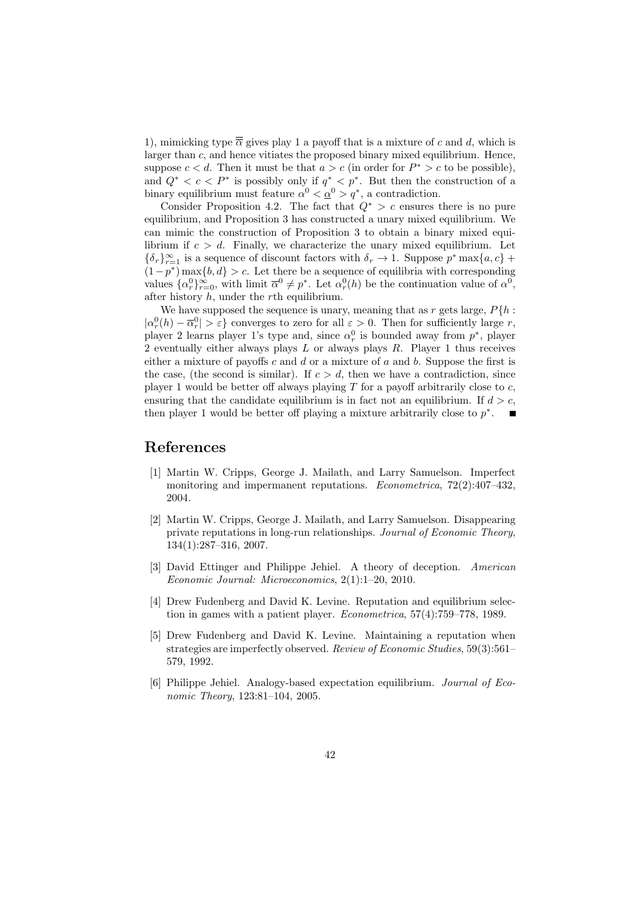1), mimicking type  $\overline{\overline{\alpha}}$  gives play 1 a payoff that is a mixture of c and d, which is larger than *c*, and hence vitiates the proposed binary mixed equilibrium. Hence, suppose  $c < d$ . Then it must be that  $a > c$  (in order for  $P^* > c$  to be possible), and  $Q^* < c < P^*$  is possibly only if  $q^* < p^*$ . But then the construction of a binary equilibrium must feature  $\alpha^0 < \underline{\alpha}^0 > q^*$ , a contradiction.

Consider Proposition 4.2. The fact that  $Q^* > c$  ensures there is no pure equilibrium, and Proposition 3 has constructed a unary mixed equilibrium. We can mimic the construction of Proposition 3 to obtain a binary mixed equilibrium if  $c > d$ . Finally, we characterize the unary mixed equilibrium. Let  ${\delta_r}$   $\}$ <sup>*r*</sup> $_{r=1}$  is a sequence of discount factors with  $\delta_r \to 1$ . Suppose  $p^*$  max ${a, c}$  + (1*−p ∗* ) max*{b, d} > c*. Let there be a sequence of equilibria with corresponding values  $\{\alpha_r^0\}_{r=0}^{\infty}$ , with limit  $\overline{\alpha}^0 \neq p^*$ . Let  $\alpha_r^0(h)$  be the continuation value of  $\alpha^0$ , after history *h*, under the *r*th equilibrium.

We have supposed the sequence is unary, meaning that as  $r$  gets large,  $P\{h:$  $| \alpha_r^0(h) - \overline{\alpha}_r^0 | > \varepsilon$  converges to zero for all  $\varepsilon > 0$ . Then for sufficiently large *r*, player 2 learns player 1's type and, since  $\alpha_r^0$  is bounded away from  $p^*$ , player 2 eventually either always plays *L* or always plays *R*. Player 1 thus receives either a mixture of payoffs *c* and *d* or a mixture of *a* and *b*. Suppose the first is the case, (the second is similar). If  $c > d$ , then we have a contradiction, since player 1 would be better off always playing *T* for a payoff arbitrarily close to *c*, ensuring that the candidate equilibrium is in fact not an equilibrium. If  $d > c$ , then player 1 would be better off playing a mixture arbitrarily close to *p ∗* .

# **References**

- [1] Martin W. Cripps, George J. Mailath, and Larry Samuelson. Imperfect monitoring and impermanent reputations. *Econometrica*, 72(2):407–432, 2004.
- [2] Martin W. Cripps, George J. Mailath, and Larry Samuelson. Disappearing private reputations in long-run relationships. *Journal of Economic Theory*, 134(1):287–316, 2007.
- [3] David Ettinger and Philippe Jehiel. A theory of deception. *American Economic Journal: Microeconomics*, 2(1):1–20, 2010.
- [4] Drew Fudenberg and David K. Levine. Reputation and equilibrium selection in games with a patient player. *Econometrica*, 57(4):759–778, 1989.
- [5] Drew Fudenberg and David K. Levine. Maintaining a reputation when strategies are imperfectly observed. *Review of Economic Studies*, 59(3):561– 579, 1992.
- [6] Philippe Jehiel. Analogy-based expectation equilibrium. *Journal of Economic Theory*, 123:81–104, 2005.